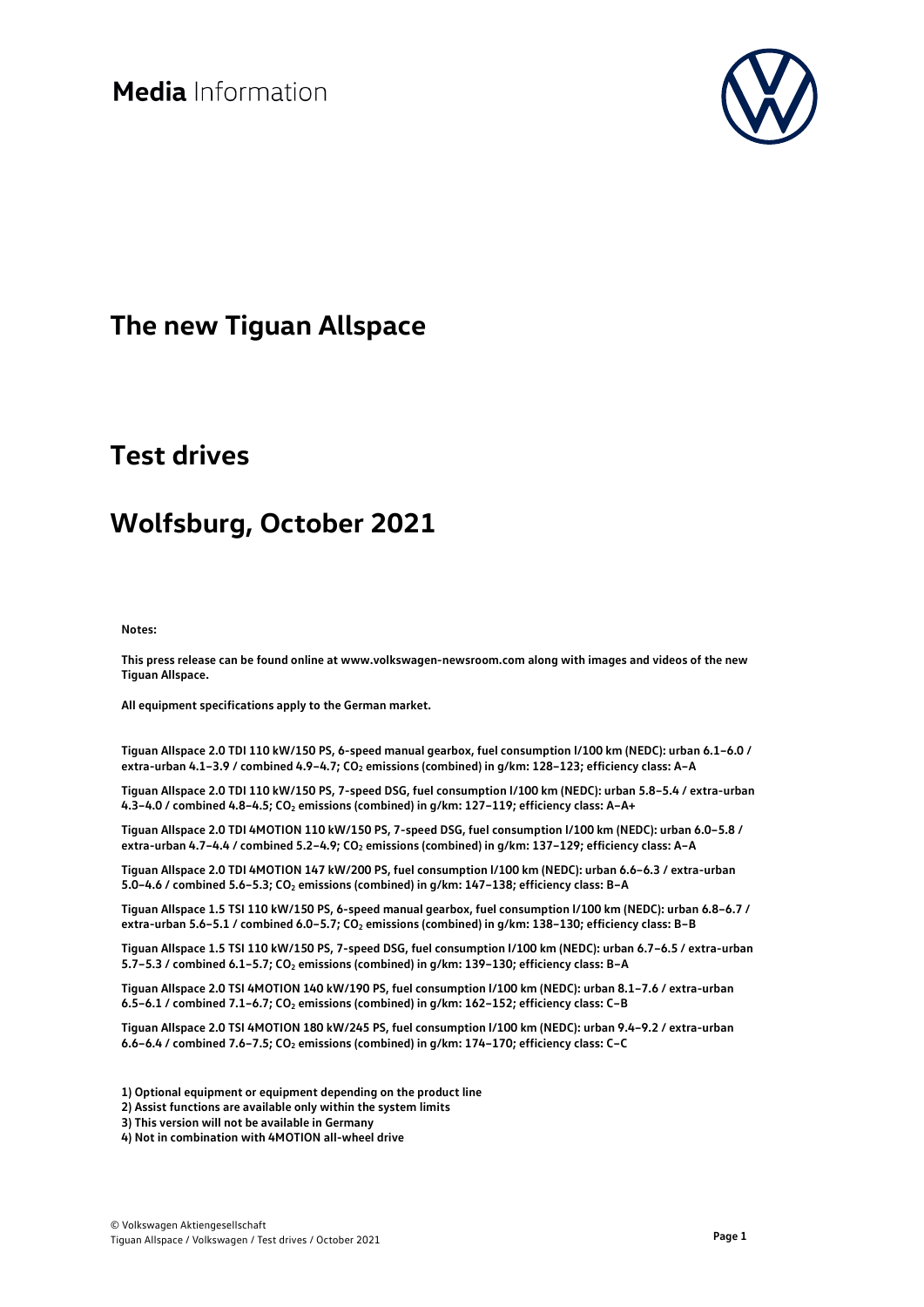

## **The new Tiguan Allspace**

## **Test drives**

## **Wolfsburg, October 2021**

**Notes:**

**This press release can be found online at www.volkswagen-newsroom.com along with images and videos of the new Tiguan Allspace.**

**All equipment specifications apply to the German market.** 

**Tiguan Allspace 2.0 TDI 110 kW/150 PS, 6-speed manual gearbox, fuel consumption l/100 km (NEDC): urban 6.1–6.0 / extra-urban 4.1–3.9 / combined 4.9–4.7; CO2 emissions (combined) in g/km: 128–123; efficiency class: A–A**

**Tiguan Allspace 2.0 TDI 110 kW/150 PS, 7-speed DSG, fuel consumption l/100 km (NEDC): urban 5.8–5.4 / extra-urban 4.3–4.0 / combined 4.8–4.5; CO2 emissions (combined) in g/km: 127–119; efficiency class: A–A+**

**Tiguan Allspace 2.0 TDI 4MOTION 110 kW/150 PS, 7-speed DSG, fuel consumption l/100 km (NEDC): urban 6.0–5.8 / extra-urban 4.7–4.4 / combined 5.2–4.9; CO2 emissions (combined) in g/km: 137–129; efficiency class: A–A**

**Tiguan Allspace 2.0 TDI 4MOTION 147 kW/200 PS, fuel consumption l/100 km (NEDC): urban 6.6–6.3 / extra-urban 5.0–4.6 / combined 5.6–5.3; CO2 emissions (combined) in g/km: 147–138; efficiency class: B–A**

**Tiguan Allspace 1.5 TSI 110 kW/150 PS, 6-speed manual gearbox, fuel consumption l/100 km (NEDC): urban 6.8–6.7 / extra-urban 5.6–5.1 / combined 6.0–5.7; CO2 emissions (combined) in g/km: 138–130; efficiency class: B–B**

**Tiguan Allspace 1.5 TSI 110 kW/150 PS, 7-speed DSG, fuel consumption l/100 km (NEDC): urban 6.7–6.5 / extra-urban 5.7–5.3 / combined 6.1–5.7; CO2 emissions (combined) in g/km: 139–130; efficiency class: B–A**

**Tiguan Allspace 2.0 TSI 4MOTION 140 kW/190 PS, fuel consumption l/100 km (NEDC): urban 8.1–7.6 / extra-urban 6.5–6.1 / combined 7.1–6.7; CO2 emissions (combined) in g/km: 162–152; efficiency class: C–B**

**Tiguan Allspace 2.0 TSI 4MOTION 180 kW/245 PS, fuel consumption l/100 km (NEDC): urban 9.4–9.2 / extra-urban 6.6–6.4 / combined 7.6–7.5; CO2 emissions (combined) in g/km: 174–170; efficiency class: C–C**

**1) Optional equipment or equipment depending on the product line**

**2) Assist functions are available only within the system limits**

**3) This version will not be available in Germany**

**4) Not in combination with 4MOTION all-wheel drive**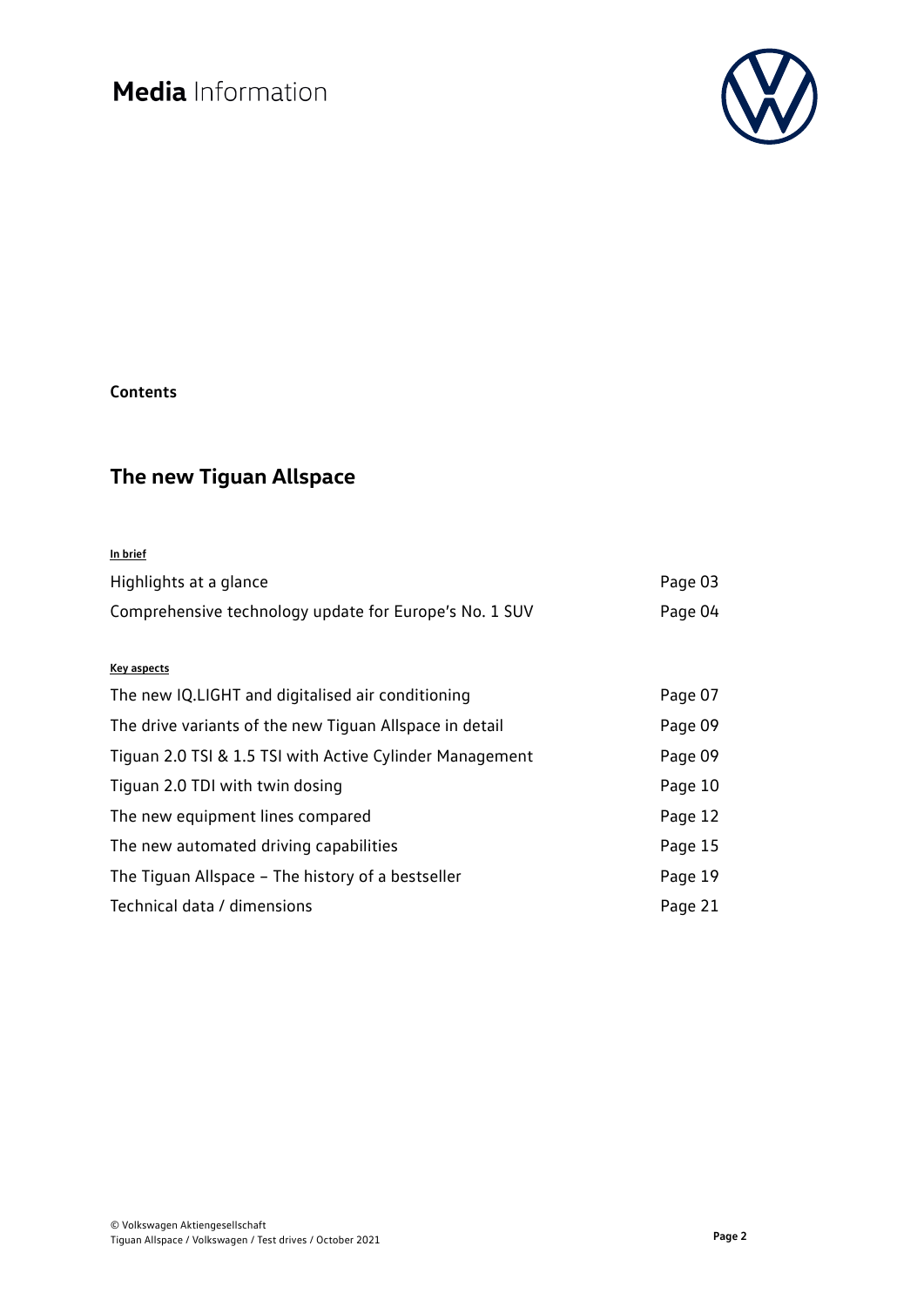

### **Contents**

## **The new Tiguan Allspace**

| In brief                                                 |         |
|----------------------------------------------------------|---------|
| Highlights at a glance                                   | Page 03 |
| Comprehensive technology update for Europe's No. 1 SUV   | Page 04 |
|                                                          |         |
| <b>Key aspects</b>                                       |         |
| The new IQ.LIGHT and digitalised air conditioning        | Page 07 |
| The drive variants of the new Tiguan Allspace in detail  | Page 09 |
| Tiguan 2.0 TSI & 1.5 TSI with Active Cylinder Management | Page 09 |
| Tiguan 2.0 TDI with twin dosing                          | Page 10 |
| The new equipment lines compared                         | Page 12 |
| The new automated driving capabilities                   | Page 15 |
| The Tiguan Allspace – The history of a bestseller        | Page 19 |
| Technical data / dimensions                              | Page 21 |
|                                                          |         |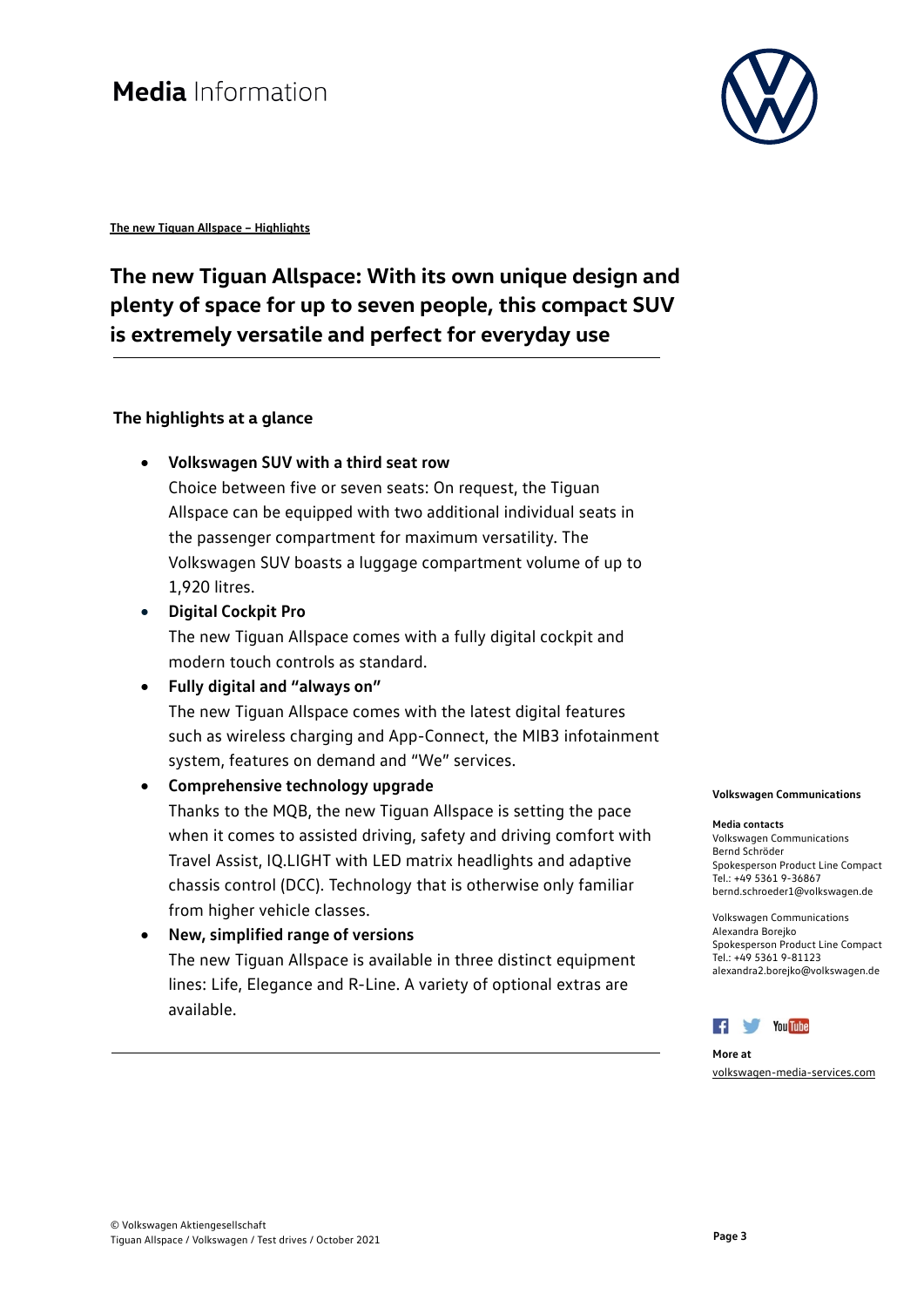

**The new Tiguan Allspace – Highlights**

## **The new Tiguan Allspace: With its own unique design and plenty of space for up to seven people, this compact SUV is extremely versatile and perfect for everyday use**

### **The highlights at a glance**

• **Volkswagen SUV with a third seat row**

Choice between five or seven seats: On request, the Tiguan Allspace can be equipped with two additional individual seats in the passenger compartment for maximum versatility. The Volkswagen SUV boasts a luggage compartment volume of up to 1,920 litres.

• **Digital Cockpit Pro**

The new Tiguan Allspace comes with a fully digital cockpit and modern touch controls as standard.

- **Fully digital and "always on"** The new Tiguan Allspace comes with the latest digital features such as wireless charging and App-Connect, the MIB3 infotainment system, features on demand and "We" services.
	- **Comprehensive technology upgrade** Thanks to the MQB, the new Tiguan Allspace is setting the pace when it comes to assisted driving, safety and driving comfort with Travel Assist, IQ.LIGHT with LED matrix headlights and adaptive chassis control (DCC). Technology that is otherwise only familiar from higher vehicle classes.
- **New, simplified range of versions** The new Tiguan Allspace is available in three distinct equipment lines: Life, Elegance and R-Line. A variety of optional extras are available.

#### **Volkswagen Communications**

#### **Media contacts**

Volkswagen Communications Bernd Schröder Spokesperson Product Line Compact Tel.: +49 5361 9-36867 bernd.schroeder1@volkswagen.de

Volkswagen Communications Alexandra Borejko Spokesperson Product Line Compact Tel.: +49 5361 9-81123 alexandra2.borejko@volkswagen.de



**More at** [volkswagen-media-services.com](https://www.volkswagen-media-services.com/)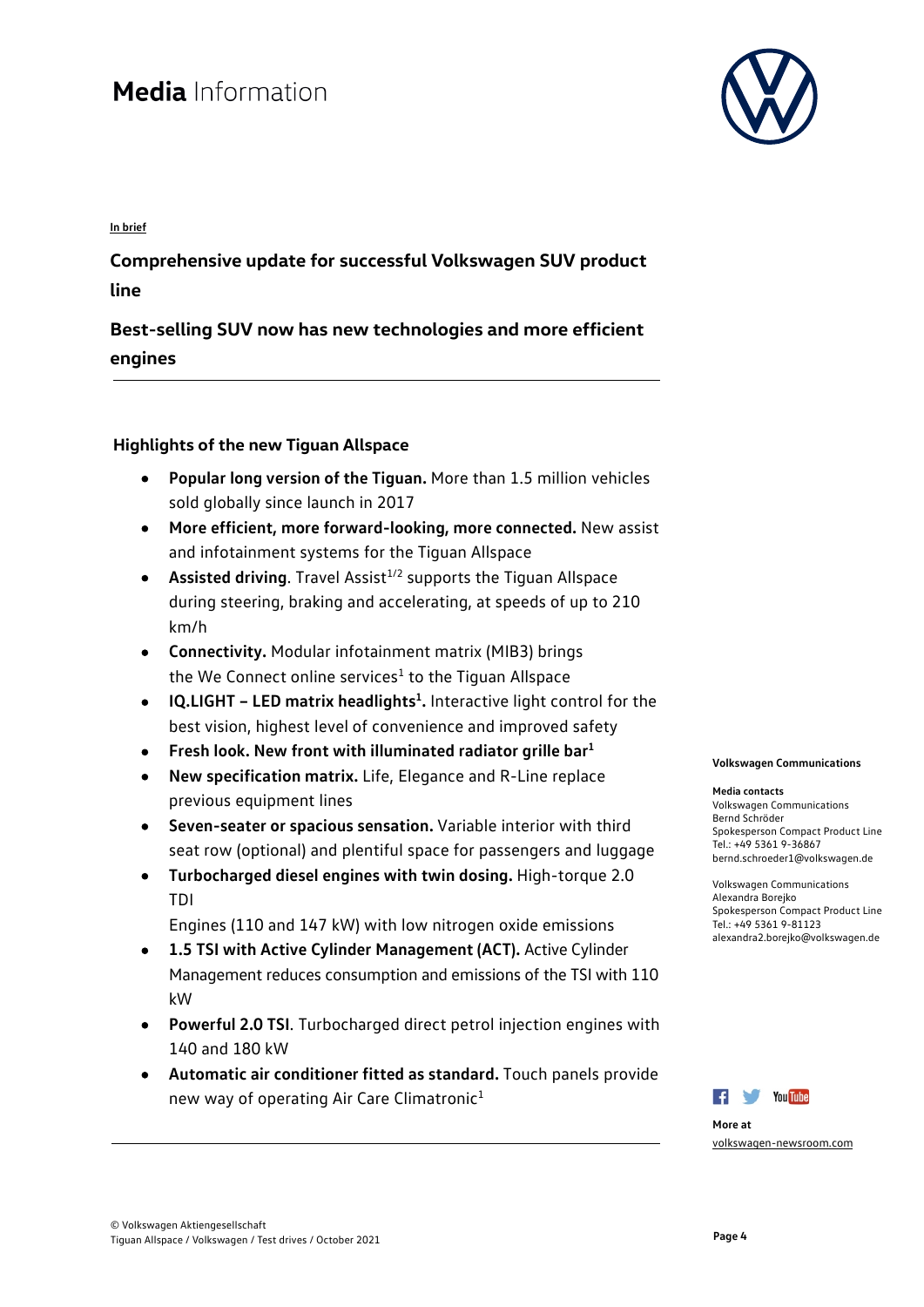

**In brief**

**Comprehensive update for successful Volkswagen SUV product line** 

**Best-selling SUV now has new technologies and more efficient engines** 

### **Highlights of the new Tiguan Allspace**

- **Popular long version of the Tiguan.** More than 1.5 million vehicles sold globally since launch in 2017
- **More efficient, more forward-looking, more connected.** New assist and infotainment systems for the Tiguan Allspace
- **Assisted driving**. Travel Assist<sup>1/2</sup> supports the Tiguan Allspace during steering, braking and accelerating, at speeds of up to 210 km/h
- **Connectivity.** Modular infotainment matrix (MIB3) brings the We Connect online services $1$  to the Tiguan Allspace
- **• IQ.LIGHT LED matrix headlights<sup>1</sup>.** Interactive light control for the best vision, highest level of convenience and improved safety
- **Fresh look. New front with illuminated radiator grille bar1**
- **New specification matrix.** Life, Elegance and R-Line replace previous equipment lines
- **Seven-seater or spacious sensation.** Variable interior with third seat row (optional) and plentiful space for passengers and luggage
- **Turbocharged diesel engines with twin dosing.** High-torque 2.0 TDI

Engines (110 and 147 kW) with low nitrogen oxide emissions

- **1.5 TSI with Active Cylinder Management (ACT).** Active Cylinder Management reduces consumption and emissions of the TSI with 110 kW
- **Powerful 2.0 TSI**. Turbocharged direct petrol injection engines with 140 and 180 kW
- **Automatic air conditioner fitted as standard.** Touch panels provide new way of operating Air Care Climatronic<sup>1</sup>

**Volkswagen Communications**

#### **Media contacts**

Volkswagen Communications Bernd Schröder Spokesperson Compact Product Line Tel.: +49 5361 9-36867 bernd.schroeder1@volkswagen.de

Volkswagen Communications Alexandra Borejko Spokesperson Compact Product Line Tel.: +49 5361 9-81123 alexandra2.borejko@volkswagen.de



**More at** [volkswagen-newsroom.com](https://www.volkswagen-media-services.com/)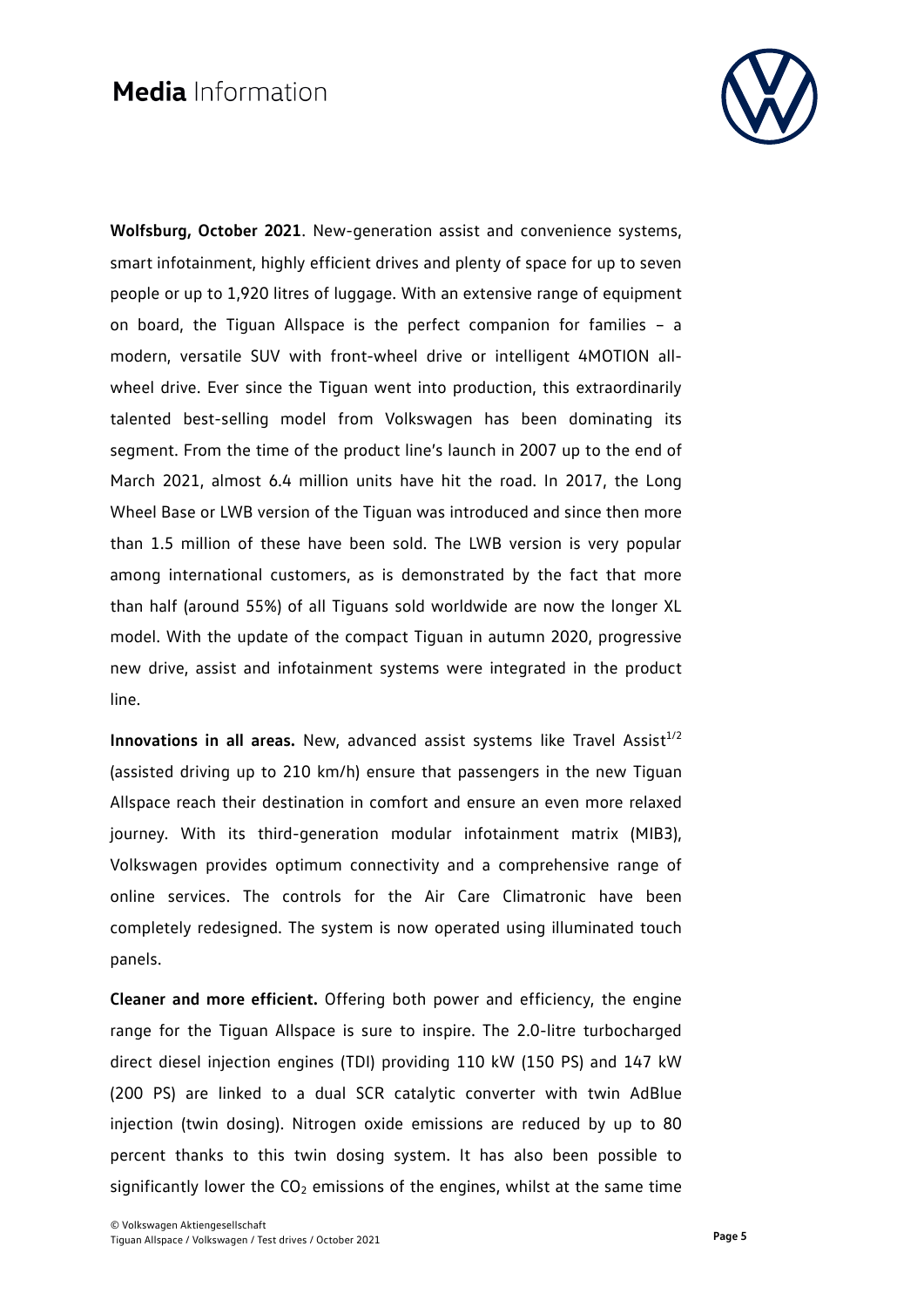

**Wolfsburg, October 2021**. New-generation assist and convenience systems, smart infotainment, highly efficient drives and plenty of space for up to seven people or up to 1,920 litres of luggage. With an extensive range of equipment on board, the Tiguan Allspace is the perfect companion for families – a modern, versatile SUV with front-wheel drive or intelligent 4MOTION allwheel drive. Ever since the Tiguan went into production, this extraordinarily talented best-selling model from Volkswagen has been dominating its segment. From the time of the product line's launch in 2007 up to the end of March 2021, almost 6.4 million units have hit the road. In 2017, the Long Wheel Base or LWB version of the Tiguan was introduced and since then more than 1.5 million of these have been sold. The LWB version is very popular among international customers, as is demonstrated by the fact that more than half (around 55%) of all Tiguans sold worldwide are now the longer XL model. With the update of the compact Tiguan in autumn 2020, progressive new drive, assist and infotainment systems were integrated in the product line.

**Innovations in all areas.** New, advanced assist systems like Travel Assist $1/2$ (assisted driving up to 210 km/h) ensure that passengers in the new Tiguan Allspace reach their destination in comfort and ensure an even more relaxed journey. With its third-generation modular infotainment matrix (MIB3), Volkswagen provides optimum connectivity and a comprehensive range of online services. The controls for the Air Care Climatronic have been completely redesigned. The system is now operated using illuminated touch panels.

**Cleaner and more efficient.** Offering both power and efficiency, the engine range for the Tiguan Allspace is sure to inspire. The 2.0-litre turbocharged direct diesel injection engines (TDI) providing 110 kW (150 PS) and 147 kW (200 PS) are linked to a dual SCR catalytic converter with twin AdBlue injection (twin dosing). Nitrogen oxide emissions are reduced by up to 80 percent thanks to this twin dosing system. It has also been possible to significantly lower the  $CO<sub>2</sub>$  emissions of the engines, whilst at the same time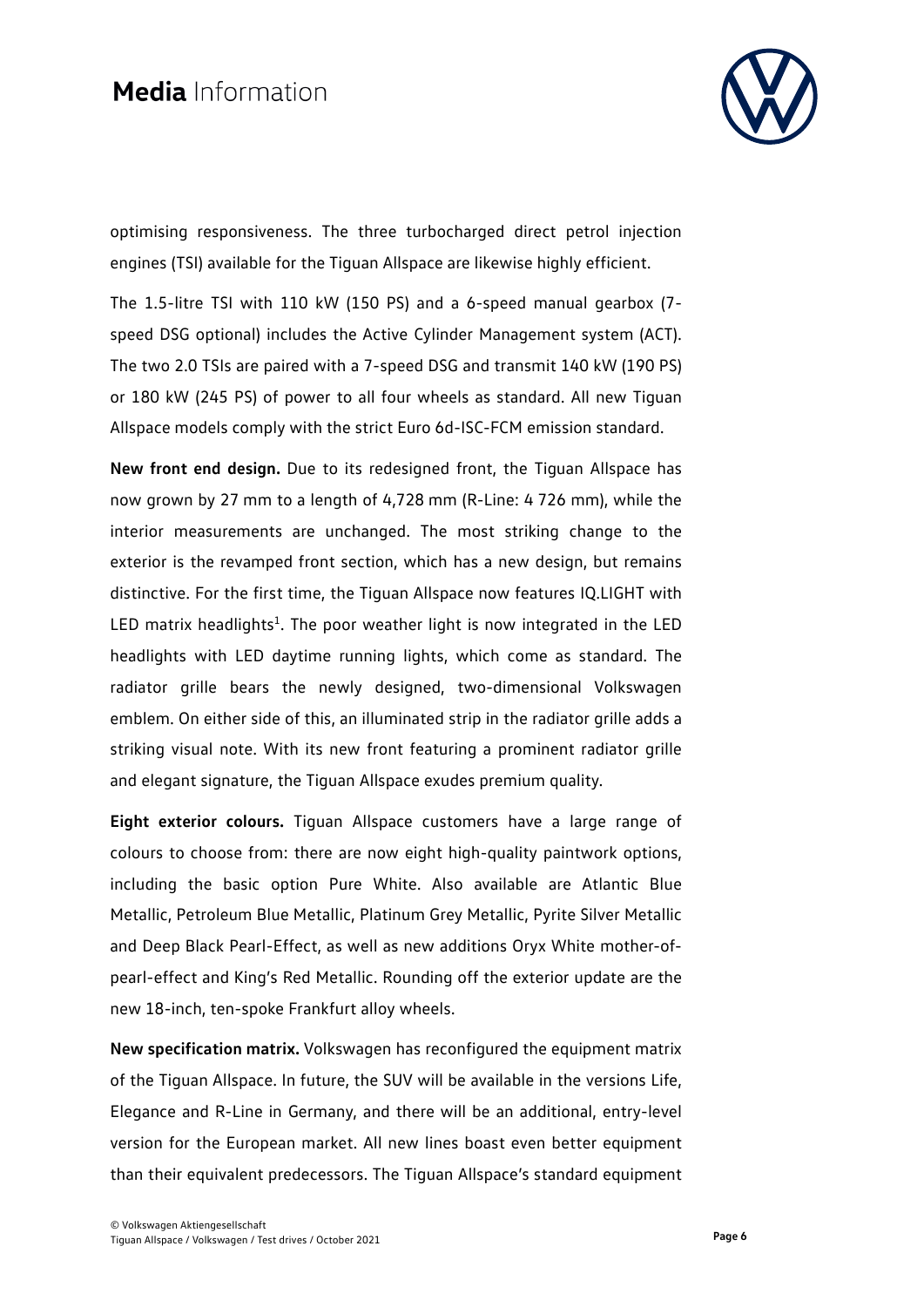

optimising responsiveness. The three turbocharged direct petrol injection engines (TSI) available for the Tiguan Allspace are likewise highly efficient.

The 1.5-litre TSI with 110 kW (150 PS) and a 6-speed manual gearbox (7 speed DSG optional) includes the Active Cylinder Management system (ACT). The two 2.0 TSIs are paired with a 7-speed DSG and transmit 140 kW (190 PS) or 180 kW (245 PS) of power to all four wheels as standard. All new Tiguan Allspace models comply with the strict Euro 6d-ISC-FCM emission standard.

**New front end design.** Due to its redesigned front, the Tiguan Allspace has now grown by 27 mm to a length of 4,728 mm (R-Line: 4 726 mm), while the interior measurements are unchanged. The most striking change to the exterior is the revamped front section, which has a new design, but remains distinctive. For the first time, the Tiguan Allspace now features IQ.LIGHT with LED matrix headlights<sup>1</sup>. The poor weather light is now integrated in the LED headlights with LED daytime running lights, which come as standard. The radiator grille bears the newly designed, two-dimensional Volkswagen emblem. On either side of this, an illuminated strip in the radiator grille adds a striking visual note. With its new front featuring a prominent radiator grille and elegant signature, the Tiguan Allspace exudes premium quality.

**Eight exterior colours.** Tiguan Allspace customers have a large range of colours to choose from: there are now eight high-quality paintwork options, including the basic option Pure White. Also available are Atlantic Blue Metallic, Petroleum Blue Metallic, Platinum Grey Metallic, Pyrite Silver Metallic and Deep Black Pearl-Effect, as well as new additions Oryx White mother-ofpearl-effect and King's Red Metallic. Rounding off the exterior update are the new 18-inch, ten-spoke Frankfurt alloy wheels.

**New specification matrix.** Volkswagen has reconfigured the equipment matrix of the Tiguan Allspace. In future, the SUV will be available in the versions Life, Elegance and R-Line in Germany, and there will be an additional, entry-level version for the European market. All new lines boast even better equipment than their equivalent predecessors. The Tiguan Allspace's standard equipment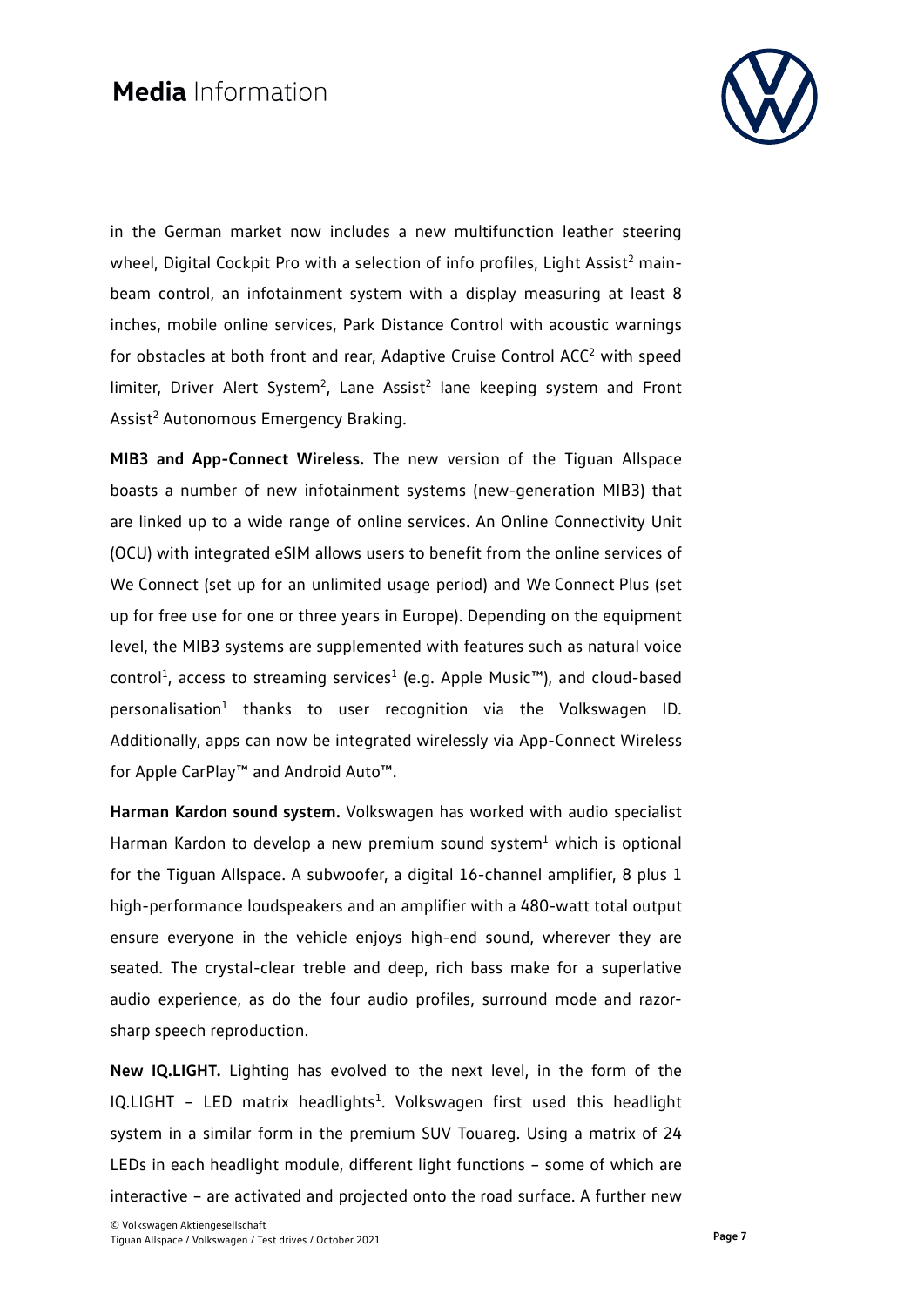

in the German market now includes a new multifunction leather steering wheel, Digital Cockpit Pro with a selection of info profiles, Light Assist<sup>2</sup> mainbeam control, an infotainment system with a display measuring at least 8 inches, mobile online services, Park Distance Control with acoustic warnings for obstacles at both front and rear, Adaptive Cruise Control ACC<sup>2</sup> with speed limiter, Driver Alert System<sup>2</sup>, Lane Assist<sup>2</sup> lane keeping system and Front Assist<sup>2</sup> Autonomous Emergency Braking.

**MIB3 and App-Connect Wireless.** The new version of the Tiguan Allspace boasts a number of new infotainment systems (new-generation MIB3) that are linked up to a wide range of online services. An Online Connectivity Unit (OCU) with integrated eSIM allows users to benefit from the online services of We Connect (set up for an unlimited usage period) and We Connect Plus (set up for free use for one or three years in Europe). Depending on the equipment level, the MIB3 systems are supplemented with features such as natural voice control<sup>1</sup>, access to streaming services<sup>1</sup> (e.g. Apple Music<sup>™</sup>), and cloud-based personalisation<sup>1</sup> thanks to user recognition via the Volkswagen ID. Additionally, apps can now be integrated wirelessly via App-Connect Wireless for Apple CarPlay™ and Android Auto™.

**Harman Kardon sound system.** Volkswagen has worked with audio specialist Harman Kardon to develop a new premium sound system $<sup>1</sup>$  which is optional</sup> for the Tiguan Allspace. A subwoofer, a digital 16-channel amplifier, 8 plus 1 high-performance loudspeakers and an amplifier with a 480-watt total output ensure everyone in the vehicle enjoys high-end sound, wherever they are seated. The crystal-clear treble and deep, rich bass make for a superlative audio experience, as do the four audio profiles, surround mode and razorsharp speech reproduction.

**New IQ.LIGHT.** Lighting has evolved to the next level, in the form of the IQ.LIGHT - LED matrix headlights<sup>1</sup>. Volkswagen first used this headlight system in a similar form in the premium SUV Touareg. Using a matrix of 24 LEDs in each headlight module, different light functions – some of which are interactive – are activated and projected onto the road surface. A further new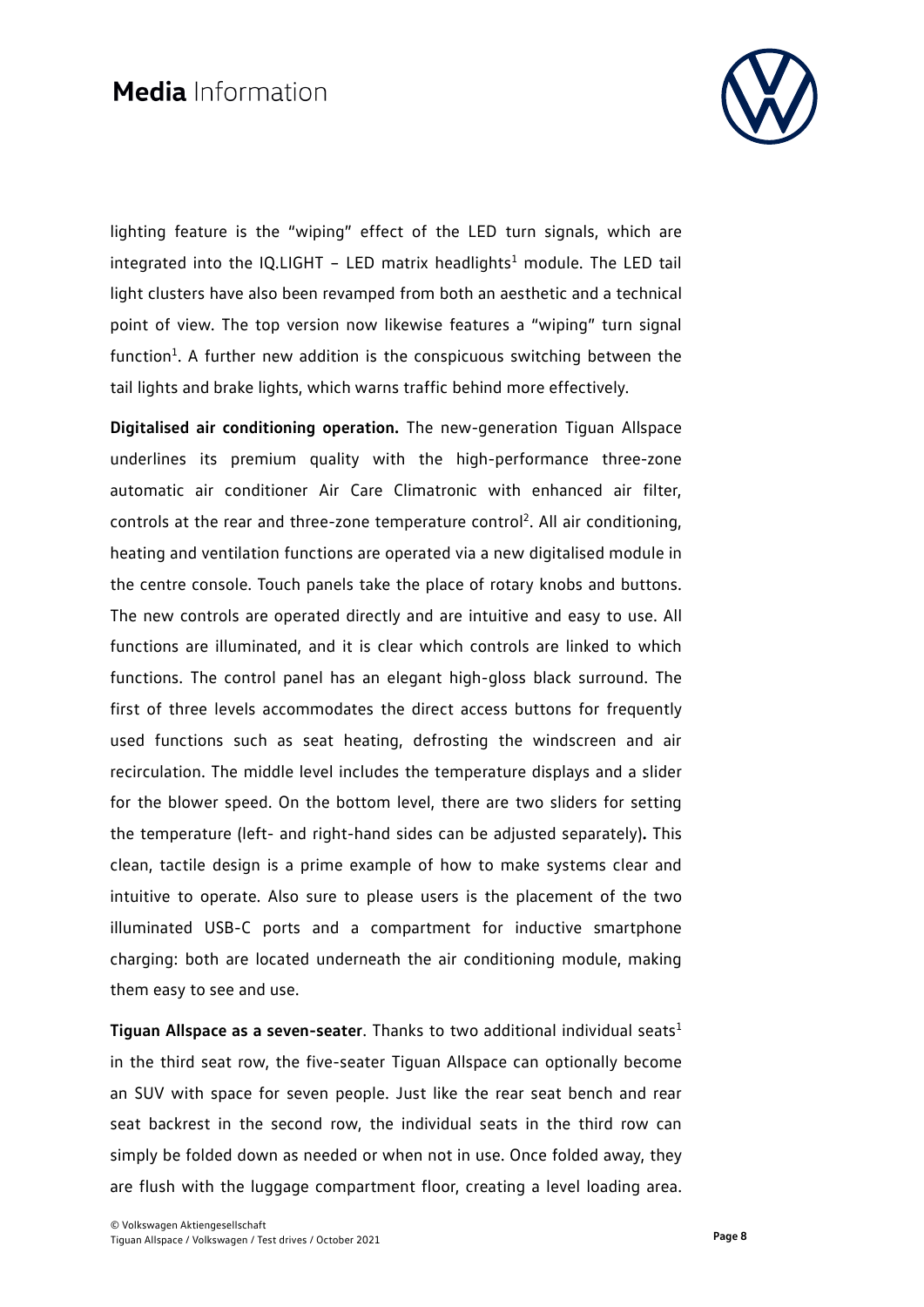

lighting feature is the "wiping" effect of the LED turn signals, which are integrated into the IQ.LIGHT - LED matrix headlights<sup>1</sup> module. The LED tail light clusters have also been revamped from both an aesthetic and a technical point of view. The top version now likewise features a "wiping" turn signal function<sup>1</sup>. A further new addition is the conspicuous switching between the tail lights and brake lights, which warns traffic behind more effectively.

**Digitalised air conditioning operation.** The new-generation Tiguan Allspace underlines its premium quality with the high-performance three-zone automatic air conditioner Air Care Climatronic with enhanced air filter, controls at the rear and three-zone temperature control<sup>2</sup>. All air conditioning, heating and ventilation functions are operated via a new digitalised module in the centre console. Touch panels take the place of rotary knobs and buttons. The new controls are operated directly and are intuitive and easy to use. All functions are illuminated, and it is clear which controls are linked to which functions. The control panel has an elegant high-gloss black surround. The first of three levels accommodates the direct access buttons for frequently used functions such as seat heating, defrosting the windscreen and air recirculation. The middle level includes the temperature displays and a slider for the blower speed. On the bottom level, there are two sliders for setting the temperature (left- and right-hand sides can be adjusted separately)**.** This clean, tactile design is a prime example of how to make systems clear and intuitive to operate. Also sure to please users is the placement of the two illuminated USB-C ports and a compartment for inductive smartphone charging: both are located underneath the air conditioning module, making them easy to see and use.

**Tiguan Allspace as a seven-seater.** Thanks to two additional individual seats<sup>1</sup> in the third seat row, the five-seater Tiguan Allspace can optionally become an SUV with space for seven people. Just like the rear seat bench and rear seat backrest in the second row, the individual seats in the third row can simply be folded down as needed or when not in use. Once folded away, they are flush with the luggage compartment floor, creating a level loading area.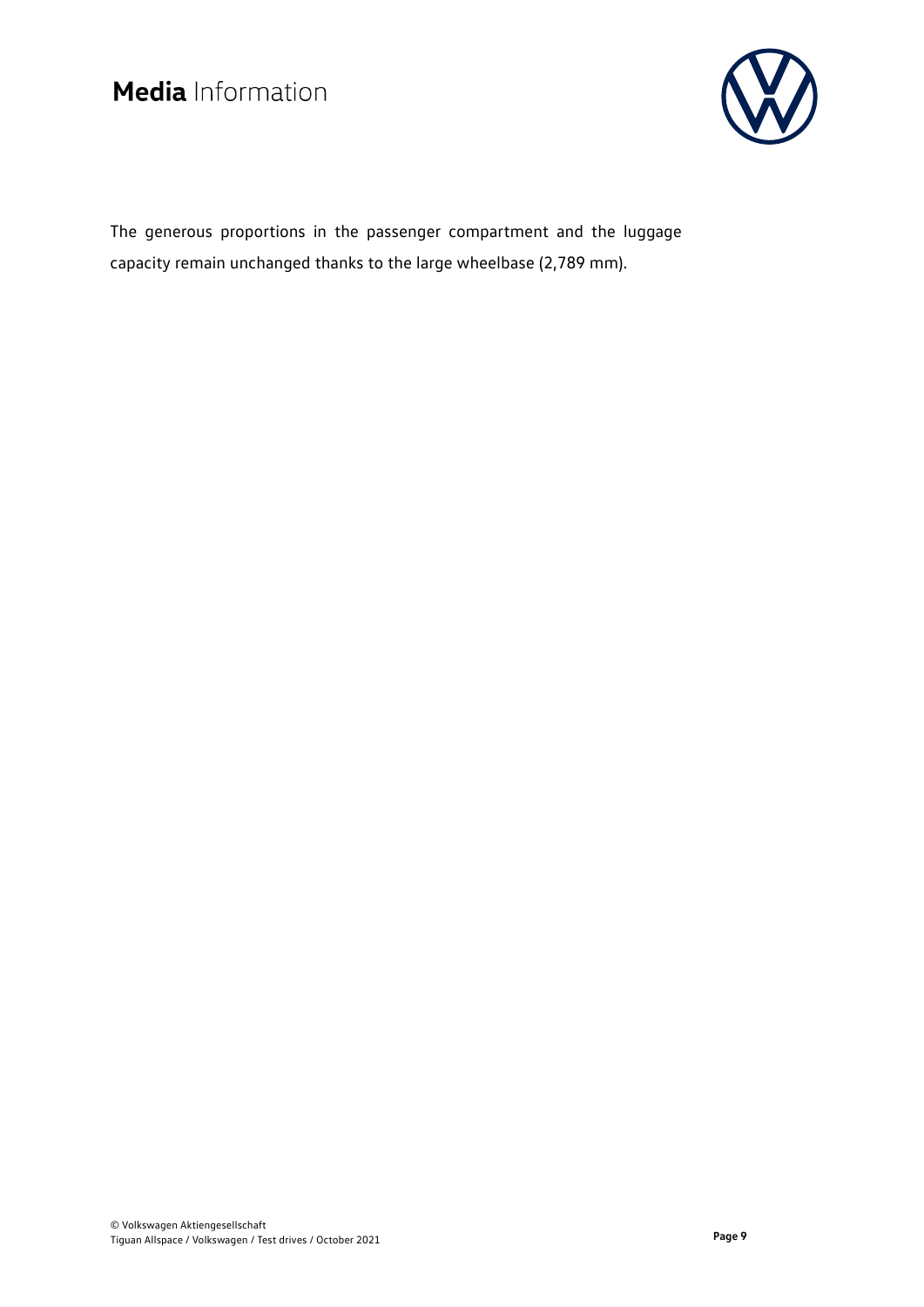

The generous proportions in the passenger compartment and the luggage capacity remain unchanged thanks to the large wheelbase (2,789 mm).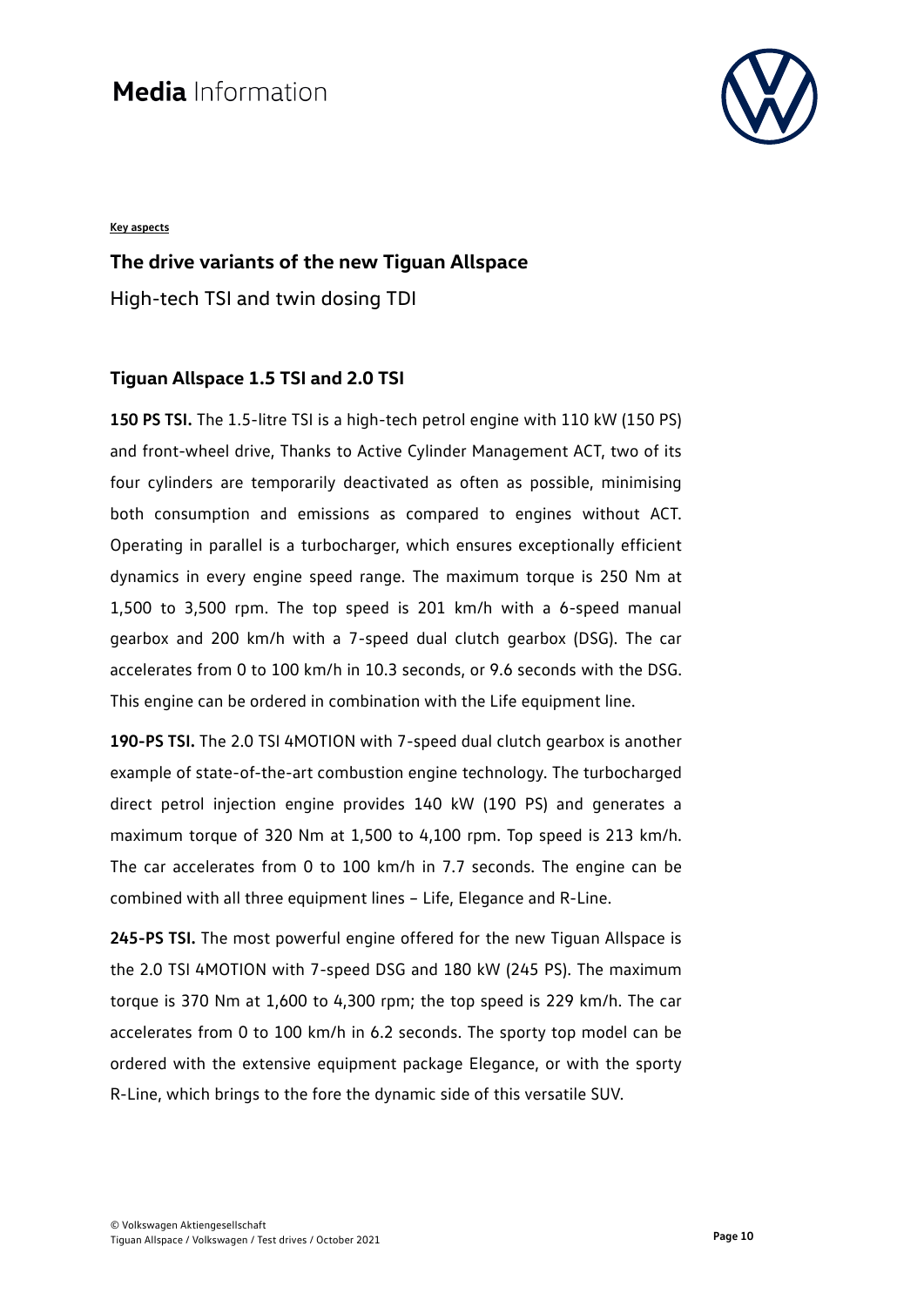

#### **Key aspects**

### **The drive variants of the new Tiguan Allspace**

High-tech TSI and twin dosing TDI

### **Tiguan Allspace 1.5 TSI and 2.0 TSI**

**150 PS TSI.** The 1.5-litre TSI is a high-tech petrol engine with 110 kW (150 PS) and front-wheel drive, Thanks to Active Cylinder Management ACT, two of its four cylinders are temporarily deactivated as often as possible, minimising both consumption and emissions as compared to engines without ACT. Operating in parallel is a turbocharger, which ensures exceptionally efficient dynamics in every engine speed range. The maximum torque is 250 Nm at 1,500 to 3,500 rpm. The top speed is 201 km/h with a 6-speed manual gearbox and 200 km/h with a 7-speed dual clutch gearbox (DSG). The car accelerates from 0 to 100 km/h in 10.3 seconds, or 9.6 seconds with the DSG. This engine can be ordered in combination with the Life equipment line.

**190-PS TSI.** The 2.0 TSI 4MOTION with 7-speed dual clutch gearbox is another example of state-of-the-art combustion engine technology. The turbocharged direct petrol injection engine provides 140 kW (190 PS) and generates a maximum torque of 320 Nm at 1,500 to 4,100 rpm. Top speed is 213 km/h. The car accelerates from 0 to 100 km/h in 7.7 seconds. The engine can be combined with all three equipment lines – Life, Elegance and R-Line.

**245-PS TSI.** The most powerful engine offered for the new Tiguan Allspace is the 2.0 TSI 4MOTION with 7-speed DSG and 180 kW (245 PS). The maximum torque is 370 Nm at 1,600 to 4,300 rpm; the top speed is 229 km/h. The car accelerates from 0 to 100 km/h in 6.2 seconds. The sporty top model can be ordered with the extensive equipment package Elegance, or with the sporty R-Line, which brings to the fore the dynamic side of this versatile SUV.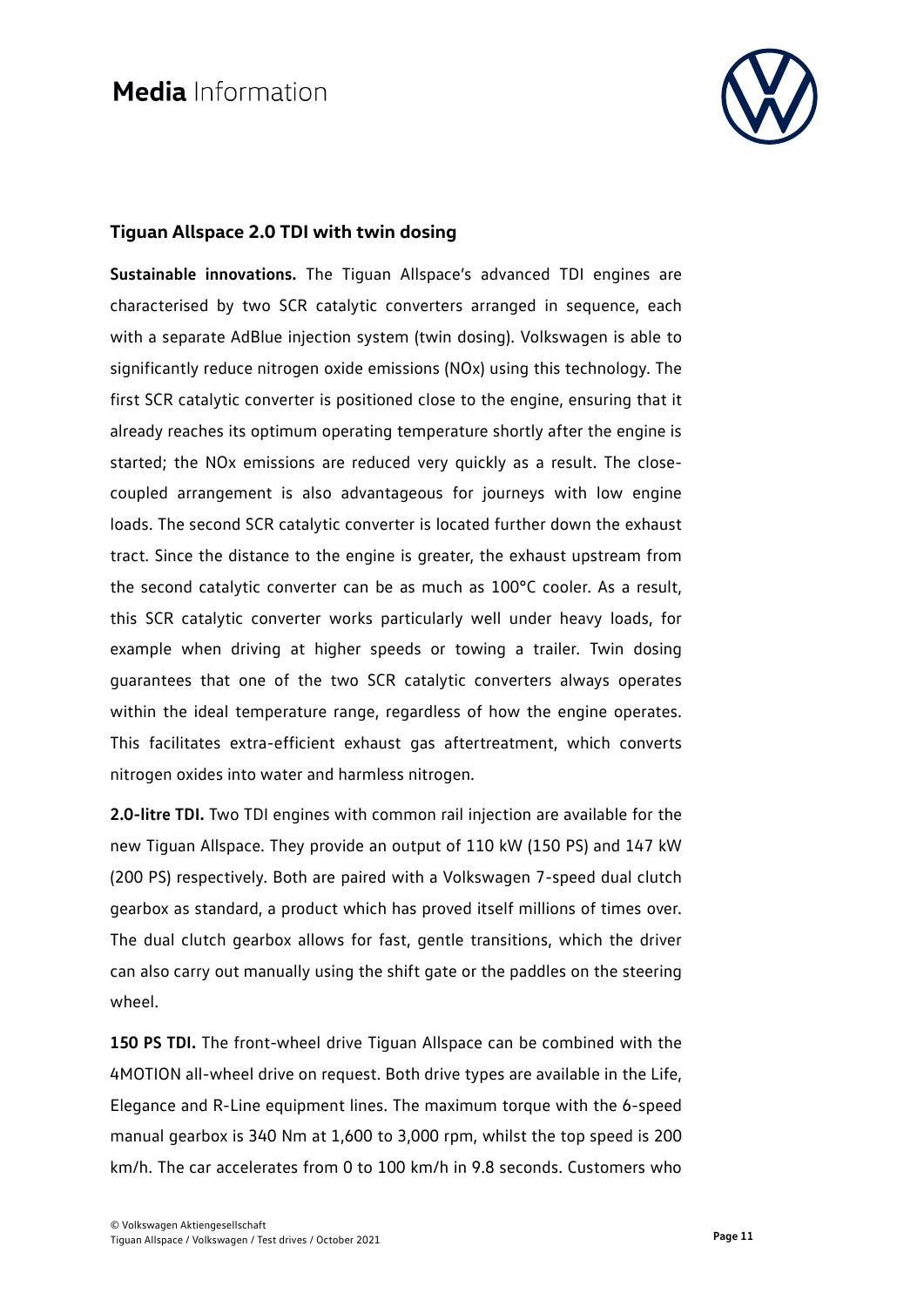

### **Tiguan Allspace 2.0 TDI with twin dosing**

**Sustainable innovations.** The Tiguan Allspace's advanced TDI engines are characterised by two SCR catalytic converters arranged in sequence, each with a separate AdBlue injection system (twin dosing). Volkswagen is able to significantly reduce nitrogen oxide emissions (NOx) using this technology. The first SCR catalytic converter is positioned close to the engine, ensuring that it already reaches its optimum operating temperature shortly after the engine is started; the NOx emissions are reduced very quickly as a result. The closecoupled arrangement is also advantageous for journeys with low engine loads. The second SCR catalytic converter is located further down the exhaust tract. Since the distance to the engine is greater, the exhaust upstream from the second catalytic converter can be as much as 100°C cooler. As a result, this SCR catalytic converter works particularly well under heavy loads, for example when driving at higher speeds or towing a trailer. Twin dosing guarantees that one of the two SCR catalytic converters always operates within the ideal temperature range, regardless of how the engine operates. This facilitates extra-efficient exhaust gas aftertreatment, which converts nitrogen oxides into water and harmless nitrogen.

**2.0-litre TDI.** Two TDI engines with common rail injection are available for the new Tiguan Allspace. They provide an output of 110 kW (150 PS) and 147 kW (200 PS) respectively. Both are paired with a Volkswagen 7-speed dual clutch gearbox as standard, a product which has proved itself millions of times over. The dual clutch gearbox allows for fast, gentle transitions, which the driver can also carry out manually using the shift gate or the paddles on the steering wheel.

**150 PS TDI.** The front-wheel drive Tiguan Allspace can be combined with the 4MOTION all-wheel drive on request. Both drive types are available in the Life, Elegance and R-Line equipment lines. The maximum torque with the 6-speed manual gearbox is 340 Nm at 1,600 to 3,000 rpm, whilst the top speed is 200 km/h. The car accelerates from 0 to 100 km/h in 9.8 seconds. Customers who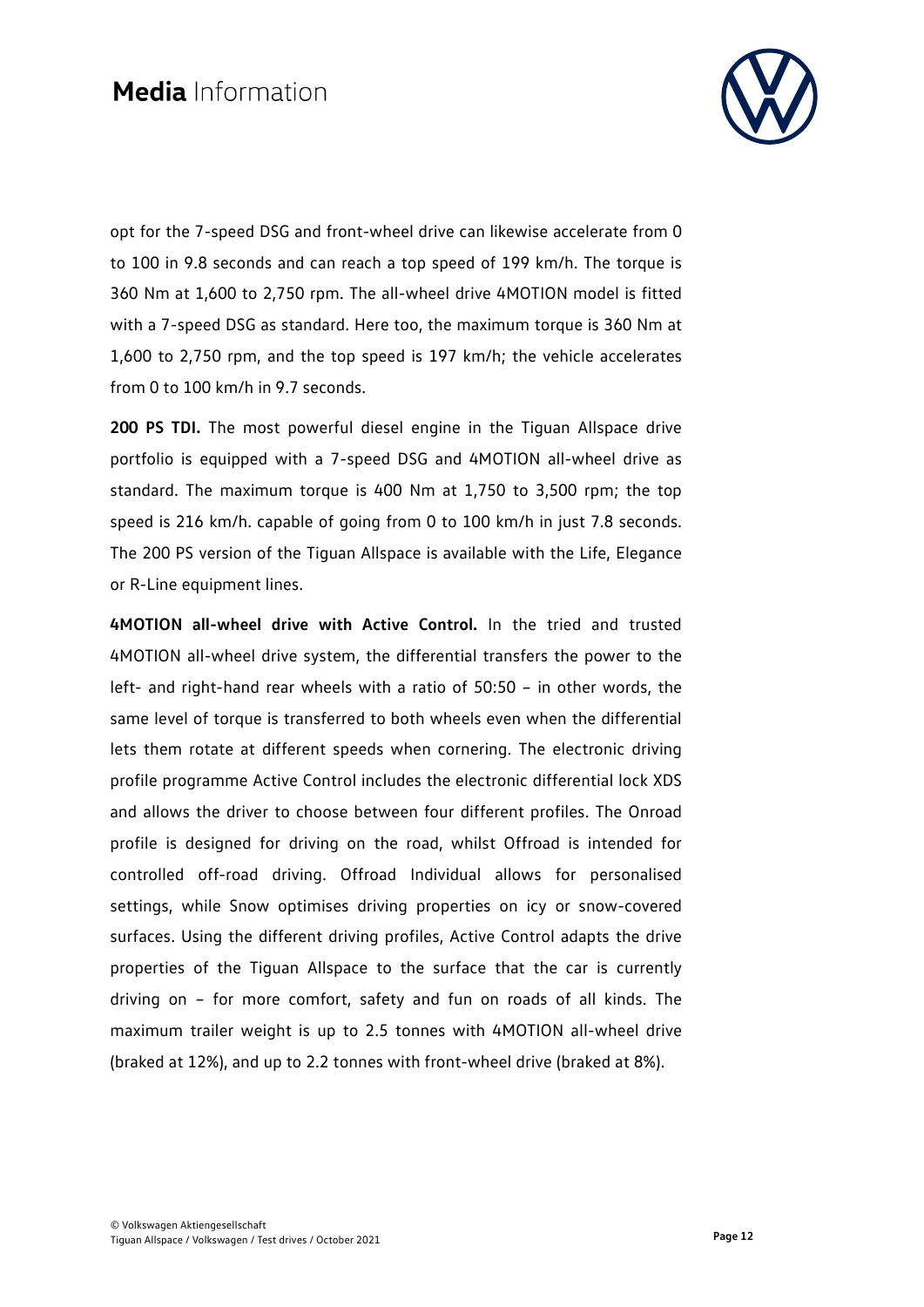

opt for the 7-speed DSG and front-wheel drive can likewise accelerate from 0 to 100 in 9.8 seconds and can reach a top speed of 199 km/h. The torque is 360 Nm at 1,600 to 2,750 rpm. The all-wheel drive 4MOTION model is fitted with a 7-speed DSG as standard. Here too, the maximum torque is 360 Nm at 1,600 to 2,750 rpm, and the top speed is 197 km/h; the vehicle accelerates from 0 to 100 km/h in 9.7 seconds.

**200 PS TDI.** The most powerful diesel engine in the Tiguan Allspace drive portfolio is equipped with a 7-speed DSG and 4MOTION all-wheel drive as standard. The maximum torque is 400 Nm at 1,750 to 3,500 rpm; the top speed is 216 km/h. capable of going from 0 to 100 km/h in just 7.8 seconds. The 200 PS version of the Tiguan Allspace is available with the Life, Elegance or R-Line equipment lines.

**4MOTION all-wheel drive with Active Control.** In the tried and trusted 4MOTION all-wheel drive system, the differential transfers the power to the left- and right-hand rear wheels with a ratio of 50:50 – in other words, the same level of torque is transferred to both wheels even when the differential lets them rotate at different speeds when cornering. The electronic driving profile programme Active Control includes the electronic differential lock XDS and allows the driver to choose between four different profiles. The Onroad profile is designed for driving on the road, whilst Offroad is intended for controlled off-road driving. Offroad Individual allows for personalised settings, while Snow optimises driving properties on icy or snow-covered surfaces. Using the different driving profiles, Active Control adapts the drive properties of the Tiguan Allspace to the surface that the car is currently driving on – for more comfort, safety and fun on roads of all kinds. The maximum trailer weight is up to 2.5 tonnes with 4MOTION all-wheel drive (braked at 12%), and up to 2.2 tonnes with front-wheel drive (braked at 8%).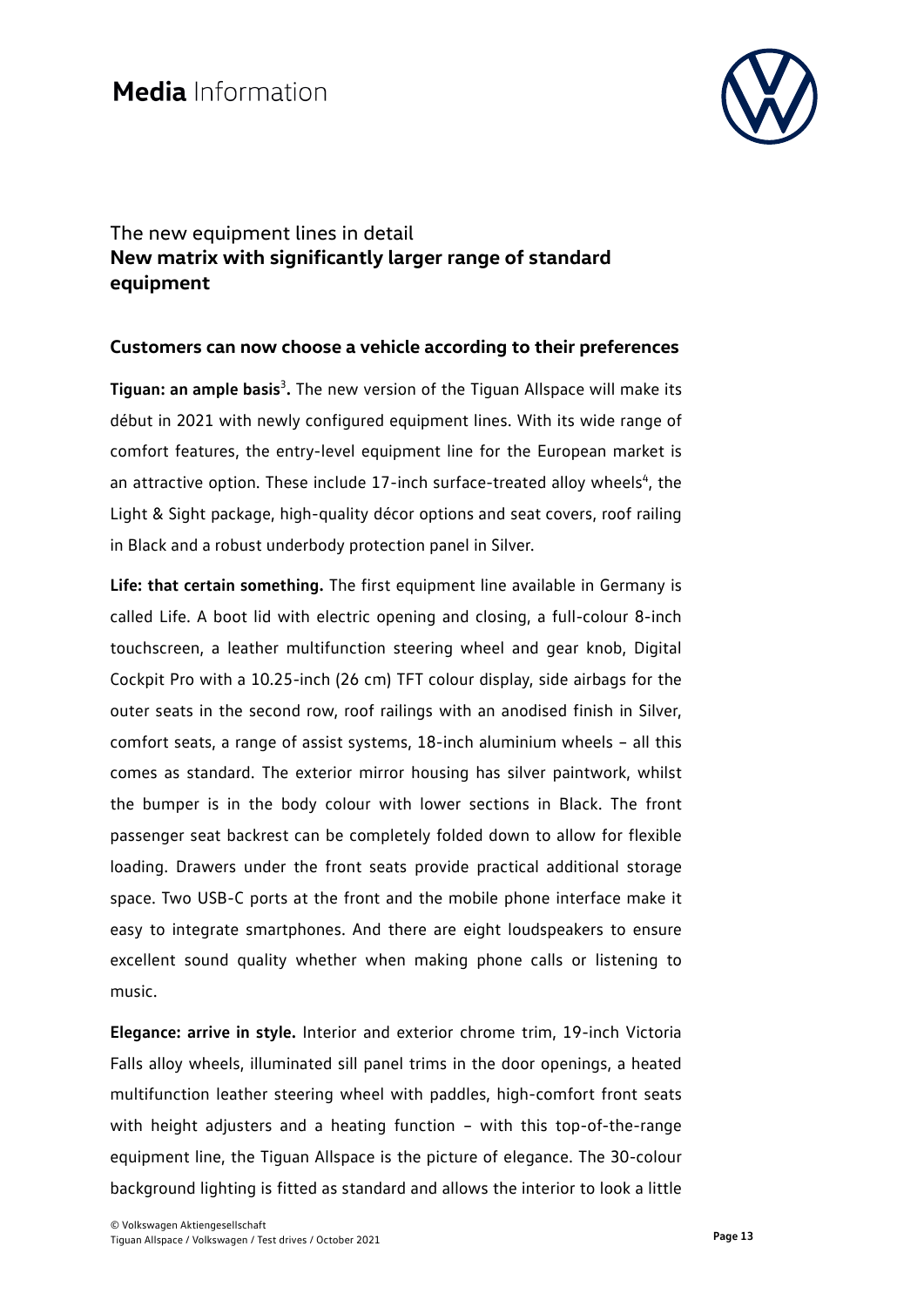

### The new equipment lines in detail **New matrix with significantly larger range of standard equipment**

### **Customers can now choose a vehicle according to their preferences**

**Tiguan: an ample basis<sup>3</sup>.** The new version of the Tiguan Allspace will make its début in 2021 with newly configured equipment lines. With its wide range of comfort features, the entry-level equipment line for the European market is an attractive option. These include  $17$ -inch surface-treated alloy wheels<sup>4</sup>, the Light & Sight package, high-quality décor options and seat covers, roof railing in Black and a robust underbody protection panel in Silver.

**Life: that certain something.** The first equipment line available in Germany is called Life. A boot lid with electric opening and closing, a full-colour 8-inch touchscreen, a leather multifunction steering wheel and gear knob, Digital Cockpit Pro with a 10.25-inch (26 cm) TFT colour display, side airbags for the outer seats in the second row, roof railings with an anodised finish in Silver, comfort seats, a range of assist systems, 18-inch aluminium wheels – all this comes as standard. The exterior mirror housing has silver paintwork, whilst the bumper is in the body colour with lower sections in Black. The front passenger seat backrest can be completely folded down to allow for flexible loading. Drawers under the front seats provide practical additional storage space. Two USB-C ports at the front and the mobile phone interface make it easy to integrate smartphones. And there are eight loudspeakers to ensure excellent sound quality whether when making phone calls or listening to music.

**Elegance: arrive in style.** Interior and exterior chrome trim, 19-inch Victoria Falls alloy wheels, illuminated sill panel trims in the door openings, a heated multifunction leather steering wheel with paddles, high-comfort front seats with height adjusters and a heating function – with this top-of-the-range equipment line, the Tiguan Allspace is the picture of elegance. The 30-colour background lighting is fitted as standard and allows the interior to look a little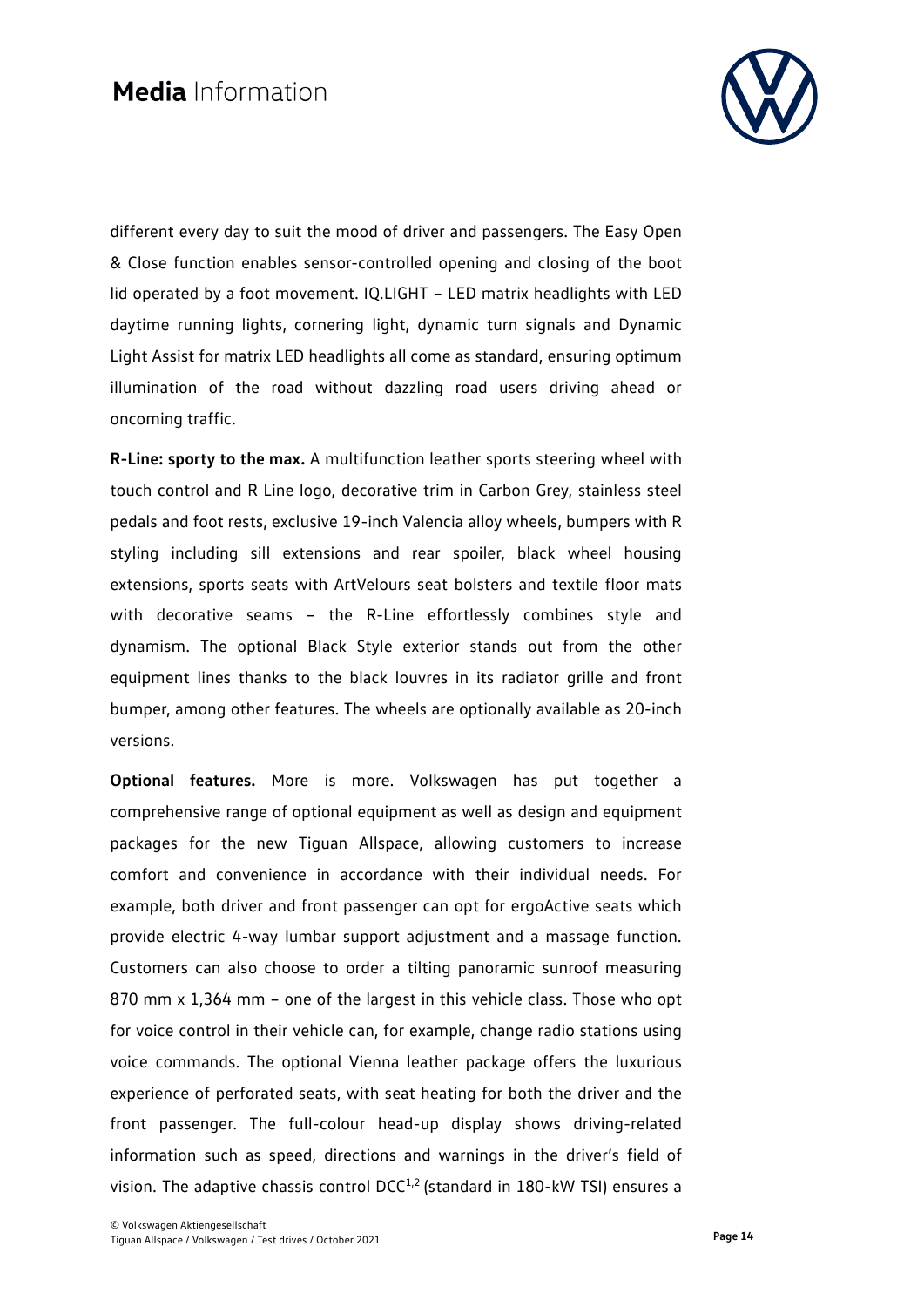

different every day to suit the mood of driver and passengers. The Easy Open & Close function enables sensor-controlled opening and closing of the boot lid operated by a foot movement. IQ.LIGHT – LED matrix headlights with LED daytime running lights, cornering light, dynamic turn signals and Dynamic Light Assist for matrix LED headlights all come as standard, ensuring optimum illumination of the road without dazzling road users driving ahead or oncoming traffic.

**R-Line: sporty to the max.** A multifunction leather sports steering wheel with touch control and R Line logo, decorative trim in Carbon Grey, stainless steel pedals and foot rests, exclusive 19-inch Valencia alloy wheels, bumpers with R styling including sill extensions and rear spoiler, black wheel housing extensions, sports seats with ArtVelours seat bolsters and textile floor mats with decorative seams – the R-Line effortlessly combines style and dynamism. The optional Black Style exterior stands out from the other equipment lines thanks to the black louvres in its radiator grille and front bumper, among other features. The wheels are optionally available as 20-inch versions.

**Optional features.** More is more. Volkswagen has put together a comprehensive range of optional equipment as well as design and equipment packages for the new Tiguan Allspace, allowing customers to increase comfort and convenience in accordance with their individual needs. For example, both driver and front passenger can opt for ergoActive seats which provide electric 4-way lumbar support adjustment and a massage function. Customers can also choose to order a tilting panoramic sunroof measuring 870 mm x 1,364 mm – one of the largest in this vehicle class. Those who opt for voice control in their vehicle can, for example, change radio stations using voice commands. The optional Vienna leather package offers the luxurious experience of perforated seats, with seat heating for both the driver and the front passenger. The full-colour head-up display shows driving-related information such as speed, directions and warnings in the driver's field of vision. The adaptive chassis control DCC<sup>1,2</sup> (standard in 180-kW TSI) ensures a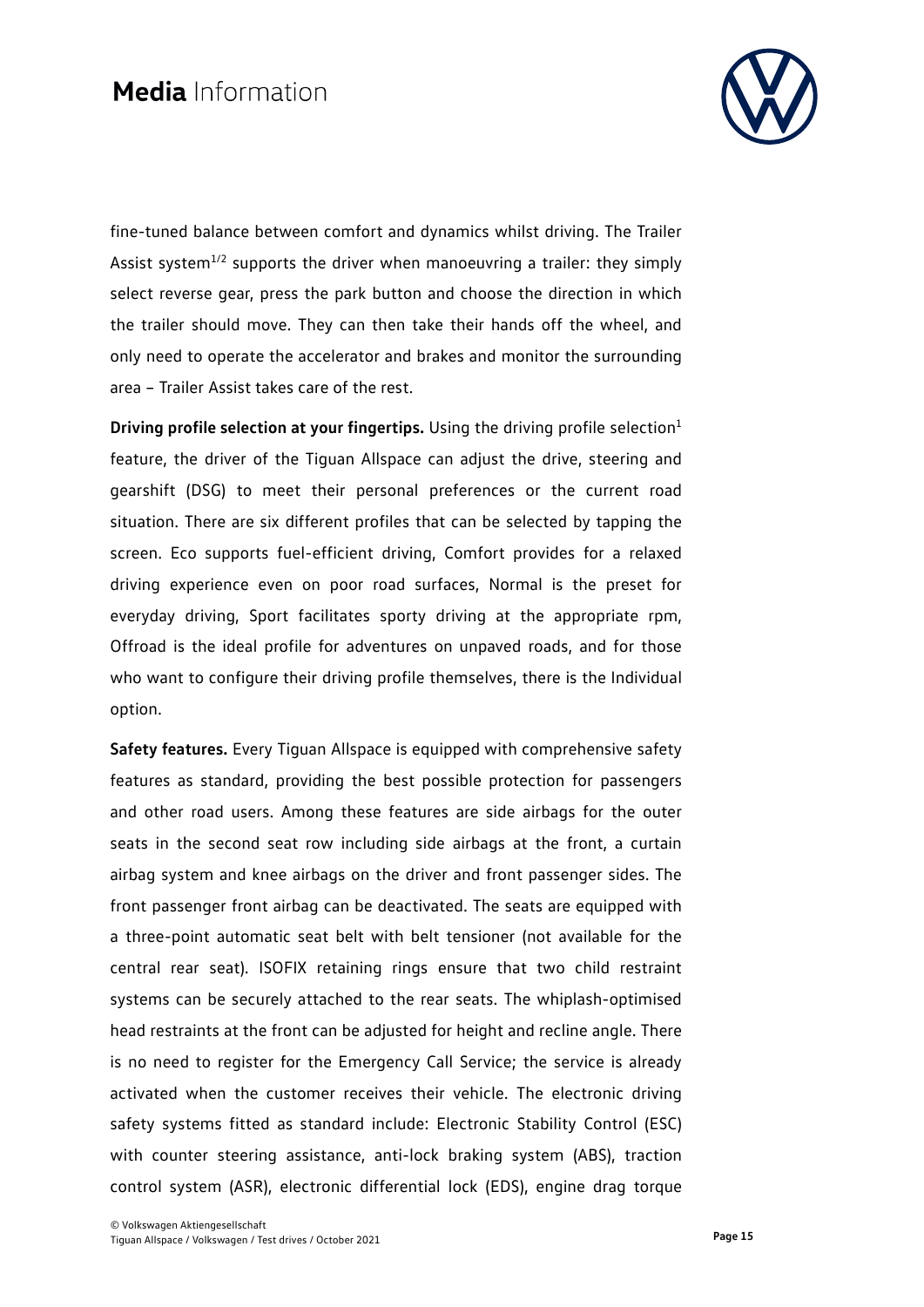

fine-tuned balance between comfort and dynamics whilst driving. The Trailer Assist system $^{1/2}$  supports the driver when manoeuvring a trailer: they simply select reverse gear, press the park button and choose the direction in which the trailer should move. They can then take their hands off the wheel, and only need to operate the accelerator and brakes and monitor the surrounding area – Trailer Assist takes care of the rest.

**Driving profile selection at your fingertips.** Using the driving profile selection<sup>1</sup> feature, the driver of the Tiguan Allspace can adjust the drive, steering and gearshift (DSG) to meet their personal preferences or the current road situation. There are six different profiles that can be selected by tapping the screen. Eco supports fuel-efficient driving, Comfort provides for a relaxed driving experience even on poor road surfaces, Normal is the preset for everyday driving, Sport facilitates sporty driving at the appropriate rpm, Offroad is the ideal profile for adventures on unpaved roads, and for those who want to configure their driving profile themselves, there is the Individual option.

**Safety features.** Every Tiguan Allspace is equipped with comprehensive safety features as standard, providing the best possible protection for passengers and other road users. Among these features are side airbags for the outer seats in the second seat row including side airbags at the front, a curtain airbag system and knee airbags on the driver and front passenger sides. The front passenger front airbag can be deactivated. The seats are equipped with a three-point automatic seat belt with belt tensioner (not available for the central rear seat). ISOFIX retaining rings ensure that two child restraint systems can be securely attached to the rear seats. The whiplash-optimised head restraints at the front can be adjusted for height and recline angle. There is no need to register for the Emergency Call Service; the service is already activated when the customer receives their vehicle. The electronic driving safety systems fitted as standard include: Electronic Stability Control (ESC) with counter steering assistance, anti-lock braking system (ABS), traction control system (ASR), electronic differential lock (EDS), engine drag torque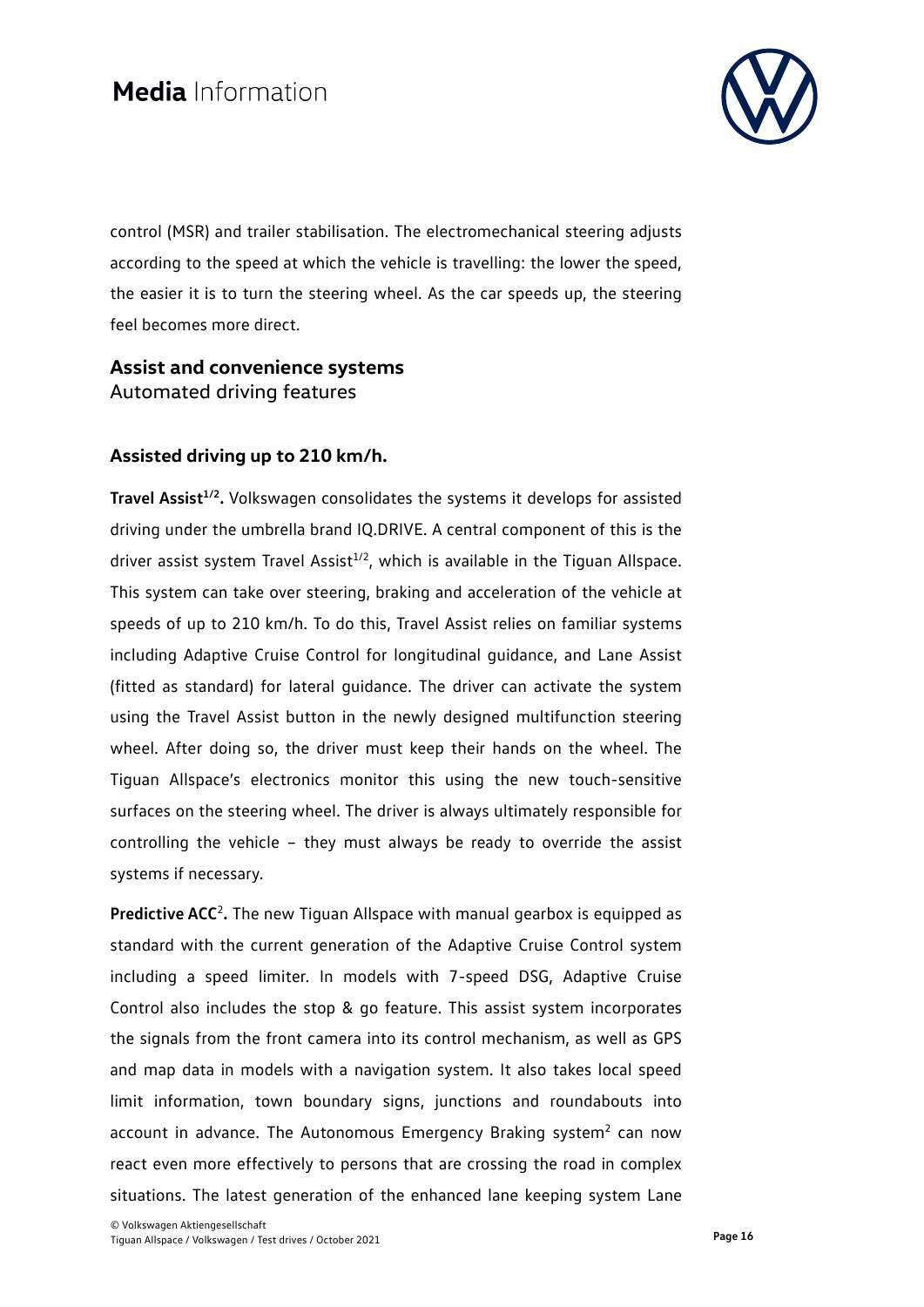

control (MSR) and trailer stabilisation. The electromechanical steering adjusts according to the speed at which the vehicle is travelling: the lower the speed, the easier it is to turn the steering wheel. As the car speeds up, the steering feel becomes more direct.

### **Assist and convenience systems** Automated driving features

### **Assisted driving up to 210 km/h.**

**Travel Assist<sup>1/2</sup>.** Volkswagen consolidates the systems it develops for assisted driving under the umbrella brand IQ.DRIVE. A central component of this is the driver assist system Travel Assist<sup>1/2</sup>, which is available in the Tiguan Allspace. This system can take over steering, braking and acceleration of the vehicle at speeds of up to 210 km/h. To do this, Travel Assist relies on familiar systems including Adaptive Cruise Control for longitudinal guidance, and Lane Assist (fitted as standard) for lateral guidance. The driver can activate the system using the Travel Assist button in the newly designed multifunction steering wheel. After doing so, the driver must keep their hands on the wheel. The Tiguan Allspace's electronics monitor this using the new touch-sensitive surfaces on the steering wheel. The driver is always ultimately responsible for controlling the vehicle – they must always be ready to override the assist systems if necessary.

**Predictive ACC<sup>2</sup>.** The new Tiguan Allspace with manual gearbox is equipped as standard with the current generation of the Adaptive Cruise Control system including a speed limiter. In models with 7-speed DSG, Adaptive Cruise Control also includes the stop & go feature. This assist system incorporates the signals from the front camera into its control mechanism, as well as GPS and map data in models with a navigation system. It also takes local speed limit information, town boundary signs, junctions and roundabouts into account in advance. The Autonomous Emergency Braking system<sup>2</sup> can now react even more effectively to persons that are crossing the road in complex situations. The latest generation of the enhanced lane keeping system Lane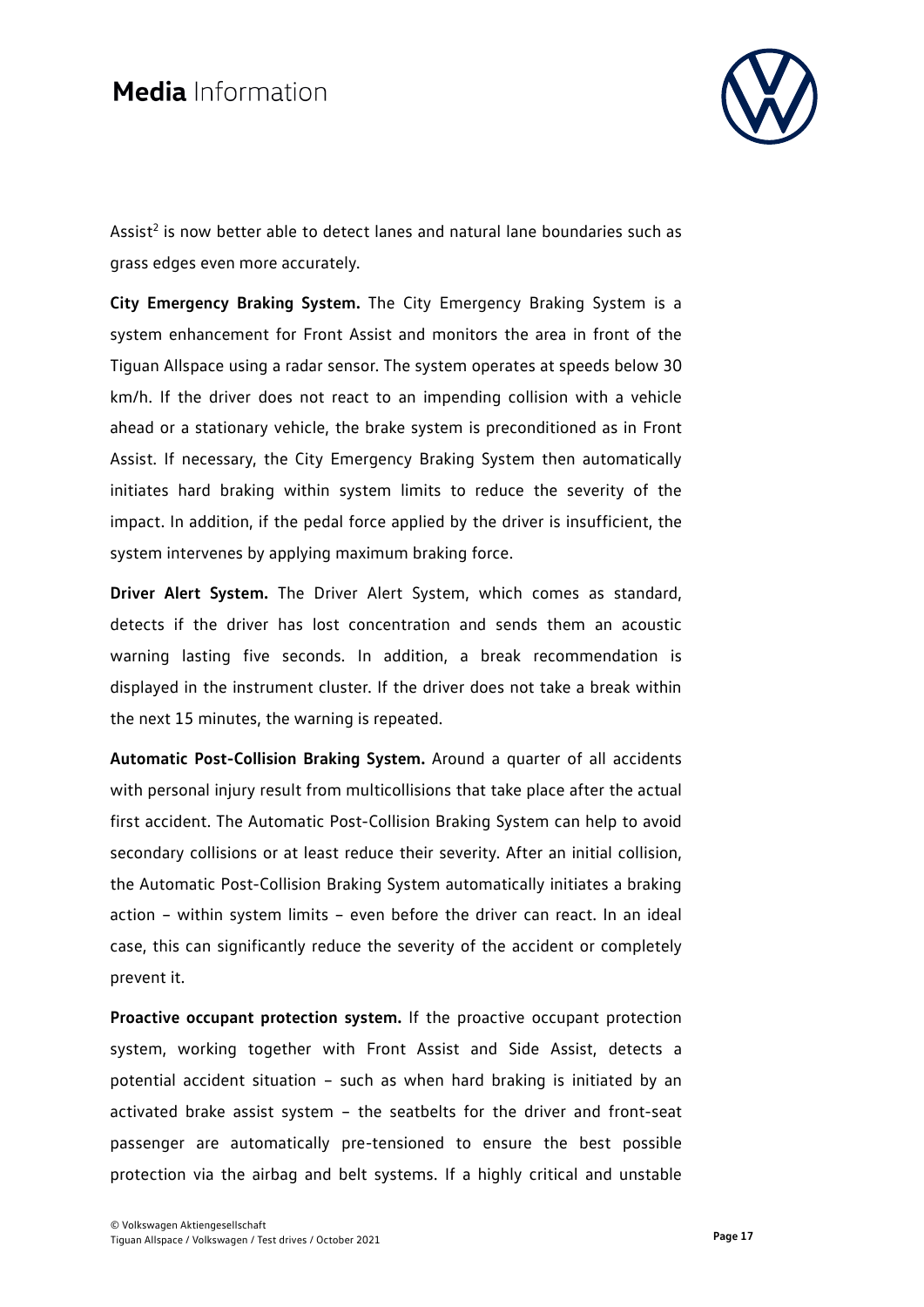

Assist<sup>2</sup> is now better able to detect lanes and natural lane boundaries such as grass edges even more accurately.

**City Emergency Braking System.** The City Emergency Braking System is a system enhancement for Front Assist and monitors the area in front of the Tiguan Allspace using a radar sensor. The system operates at speeds below 30 km/h. If the driver does not react to an impending collision with a vehicle ahead or a stationary vehicle, the brake system is preconditioned as in Front Assist. If necessary, the City Emergency Braking System then automatically initiates hard braking within system limits to reduce the severity of the impact. In addition, if the pedal force applied by the driver is insufficient, the system intervenes by applying maximum braking force.

**Driver Alert System.** The Driver Alert System, which comes as standard, detects if the driver has lost concentration and sends them an acoustic warning lasting five seconds. In addition, a break recommendation is displayed in the instrument cluster. If the driver does not take a break within the next 15 minutes, the warning is repeated.

**Automatic Post-Collision Braking System.** Around a quarter of all accidents with personal injury result from multicollisions that take place after the actual first accident. The Automatic Post-Collision Braking System can help to avoid secondary collisions or at least reduce their severity. After an initial collision, the Automatic Post-Collision Braking System automatically initiates a braking action – within system limits – even before the driver can react. In an ideal case, this can significantly reduce the severity of the accident or completely prevent it.

**Proactive occupant protection system.** If the proactive occupant protection system, working together with Front Assist and Side Assist, detects a potential accident situation – such as when hard braking is initiated by an activated brake assist system – the seatbelts for the driver and front-seat passenger are automatically pre-tensioned to ensure the best possible protection via the airbag and belt systems. If a highly critical and unstable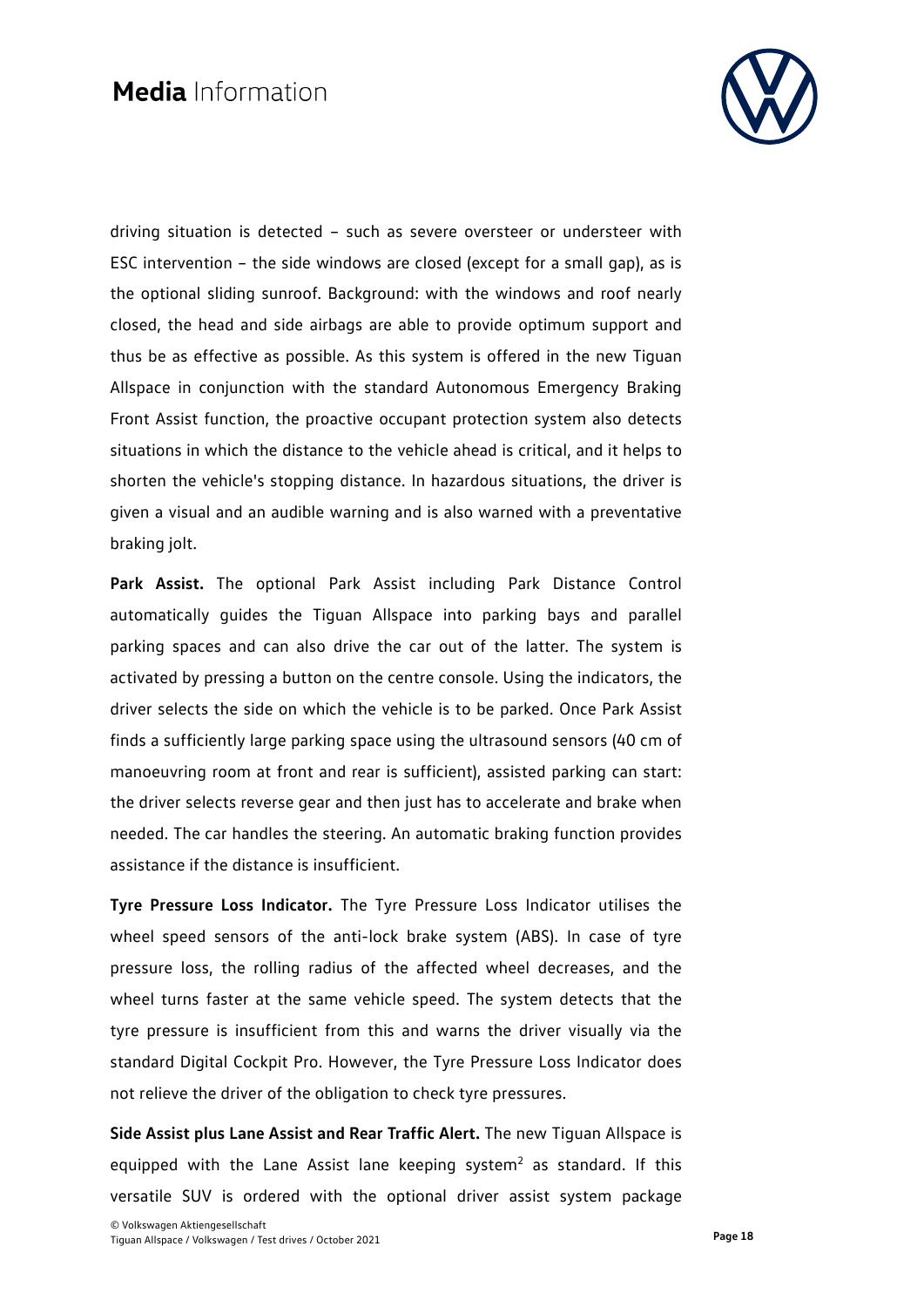

driving situation is detected – such as severe oversteer or understeer with ESC intervention – the side windows are closed (except for a small gap), as is the optional sliding sunroof. Background: with the windows and roof nearly closed, the head and side airbags are able to provide optimum support and thus be as effective as possible. As this system is offered in the new Tiguan Allspace in conjunction with the standard Autonomous Emergency Braking Front Assist function, the proactive occupant protection system also detects situations in which the distance to the vehicle ahead is critical, and it helps to shorten the vehicle's stopping distance. In hazardous situations, the driver is given a visual and an audible warning and is also warned with a preventative braking jolt.

**Park Assist.** The optional Park Assist including Park Distance Control automatically guides the Tiguan Allspace into parking bays and parallel parking spaces and can also drive the car out of the latter. The system is activated by pressing a button on the centre console. Using the indicators, the driver selects the side on which the vehicle is to be parked. Once Park Assist finds a sufficiently large parking space using the ultrasound sensors (40 cm of manoeuvring room at front and rear is sufficient), assisted parking can start: the driver selects reverse gear and then just has to accelerate and brake when needed. The car handles the steering. An automatic braking function provides assistance if the distance is insufficient.

**Tyre Pressure Loss Indicator.** The Tyre Pressure Loss Indicator utilises the wheel speed sensors of the anti-lock brake system (ABS). In case of tyre pressure loss, the rolling radius of the affected wheel decreases, and the wheel turns faster at the same vehicle speed. The system detects that the tyre pressure is insufficient from this and warns the driver visually via the standard Digital Cockpit Pro. However, the Tyre Pressure Loss Indicator does not relieve the driver of the obligation to check tyre pressures.

**Side Assist plus Lane Assist and Rear Traffic Alert.** The new Tiguan Allspace is equipped with the Lane Assist lane keeping system<sup>2</sup> as standard. If this versatile SUV is ordered with the optional driver assist system package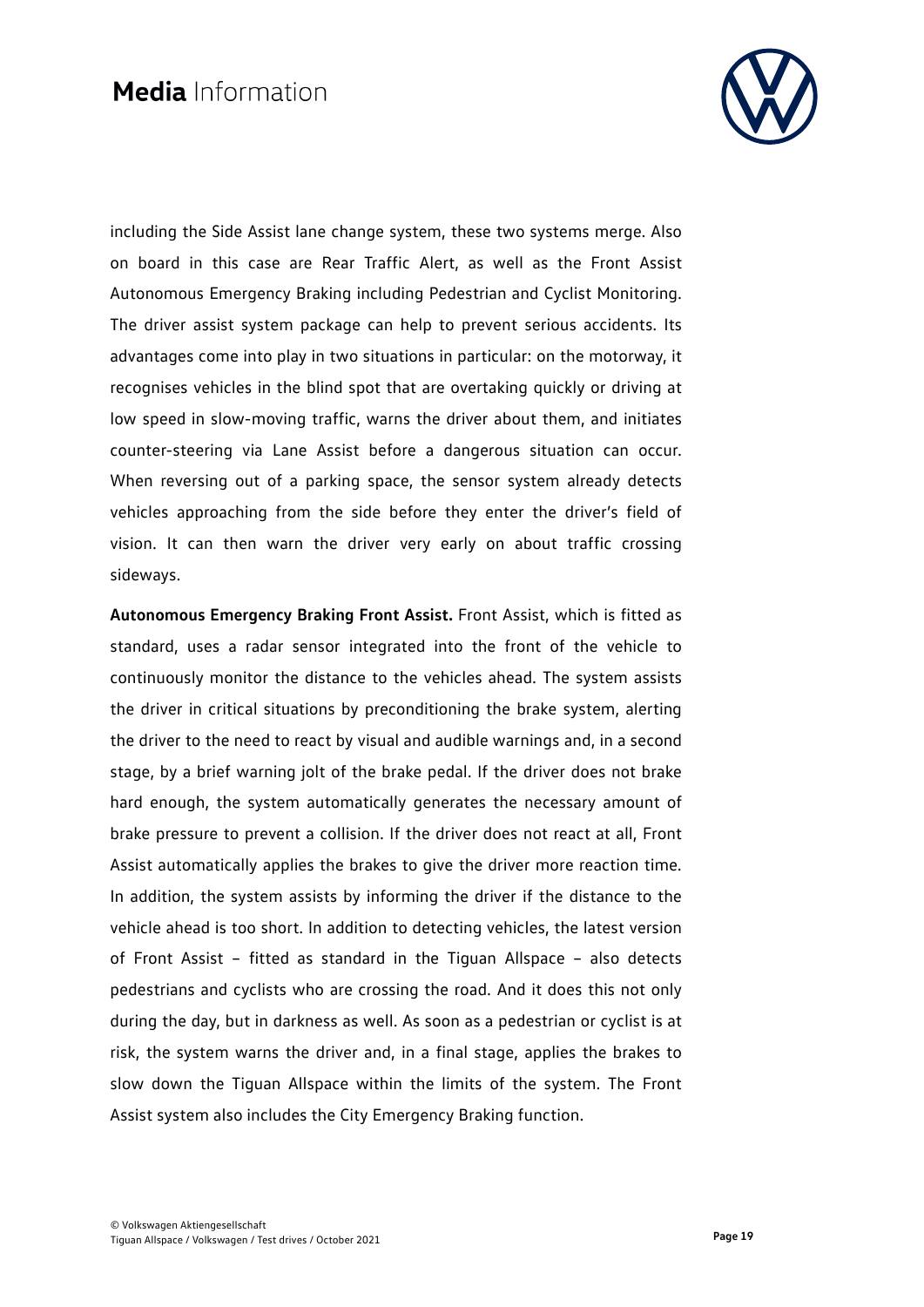

including the Side Assist lane change system, these two systems merge. Also on board in this case are Rear Traffic Alert, as well as the Front Assist Autonomous Emergency Braking including Pedestrian and Cyclist Monitoring. The driver assist system package can help to prevent serious accidents. Its advantages come into play in two situations in particular: on the motorway, it recognises vehicles in the blind spot that are overtaking quickly or driving at low speed in slow-moving traffic, warns the driver about them, and initiates counter-steering via Lane Assist before a dangerous situation can occur. When reversing out of a parking space, the sensor system already detects vehicles approaching from the side before they enter the driver's field of vision. It can then warn the driver very early on about traffic crossing sideways.

**Autonomous Emergency Braking Front Assist.** Front Assist, which is fitted as standard, uses a radar sensor integrated into the front of the vehicle to continuously monitor the distance to the vehicles ahead. The system assists the driver in critical situations by preconditioning the brake system, alerting the driver to the need to react by visual and audible warnings and, in a second stage, by a brief warning jolt of the brake pedal. If the driver does not brake hard enough, the system automatically generates the necessary amount of brake pressure to prevent a collision. If the driver does not react at all, Front Assist automatically applies the brakes to give the driver more reaction time. In addition, the system assists by informing the driver if the distance to the vehicle ahead is too short. In addition to detecting vehicles, the latest version of Front Assist – fitted as standard in the Tiguan Allspace – also detects pedestrians and cyclists who are crossing the road. And it does this not only during the day, but in darkness as well. As soon as a pedestrian or cyclist is at risk, the system warns the driver and, in a final stage, applies the brakes to slow down the Tiguan Allspace within the limits of the system. The Front Assist system also includes the City Emergency Braking function.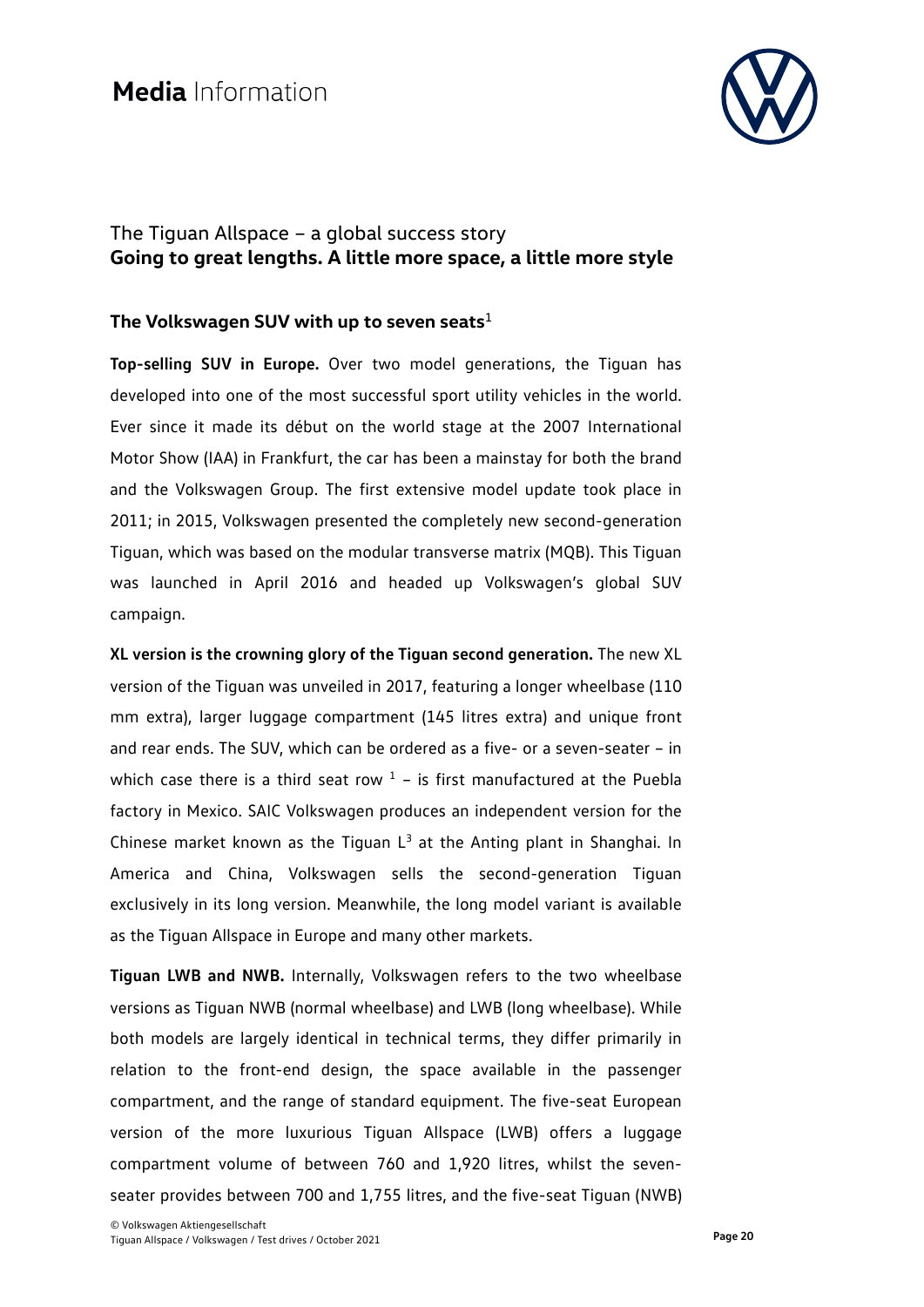

### The Tiguan Allspace – a global success story **Going to great lengths. A little more space, a little more style**

### **The Volkswagen SUV with up to seven seats**<sup>1</sup>

**Top-selling SUV in Europe.** Over two model generations, the Tiguan has developed into one of the most successful sport utility vehicles in the world. Ever since it made its début on the world stage at the 2007 International Motor Show (IAA) in Frankfurt, the car has been a mainstay for both the brand and the Volkswagen Group. The first extensive model update took place in 2011; in 2015, Volkswagen presented the completely new second-generation Tiguan, which was based on the modular transverse matrix (MQB). This Tiguan was launched in April 2016 and headed up Volkswagen's global SUV campaign.

**XL version is the crowning glory of the Tiguan second generation.** The new XL version of the Tiguan was unveiled in 2017, featuring a longer wheelbase (110 mm extra), larger luggage compartment (145 litres extra) and unique front and rear ends. The SUV, which can be ordered as a five- or a seven-seater – in which case there is a third seat row  $1$  – is first manufactured at the Puebla factory in Mexico. SAIC Volkswagen produces an independent version for the Chinese market known as the Tiguan  $L^3$  at the Anting plant in Shanghai. In America and China, Volkswagen sells the second-generation Tiguan exclusively in its long version. Meanwhile, the long model variant is available as the Tiguan Allspace in Europe and many other markets.

**Tiguan LWB and NWB.** Internally, Volkswagen refers to the two wheelbase versions as Tiguan NWB (normal wheelbase) and LWB (long wheelbase). While both models are largely identical in technical terms, they differ primarily in relation to the front-end design, the space available in the passenger compartment, and the range of standard equipment. The five-seat European version of the more luxurious Tiguan Allspace (LWB) offers a luggage compartment volume of between 760 and 1,920 litres, whilst the sevenseater provides between 700 and 1,755 litres, and the five-seat Tiguan (NWB)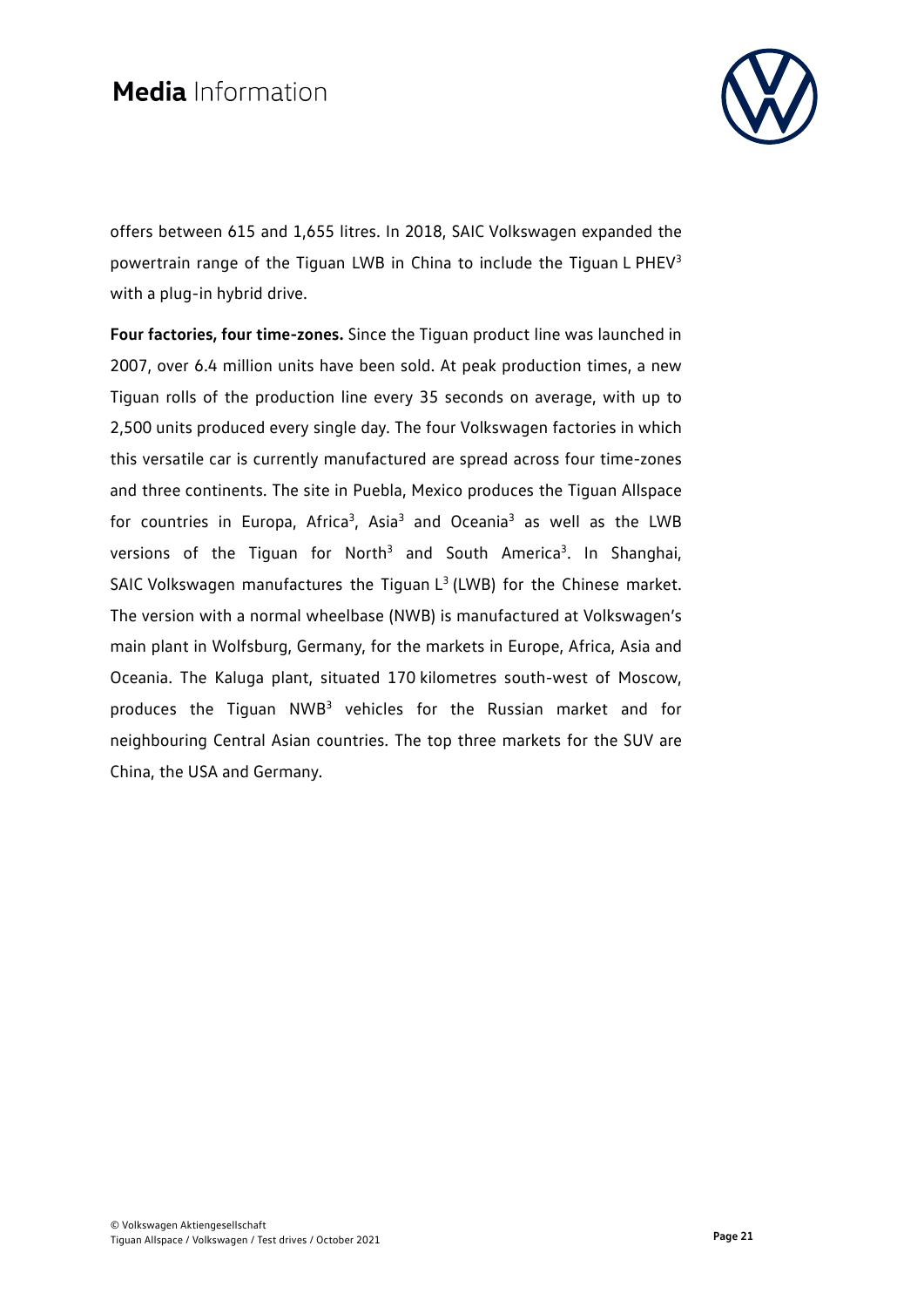

offers between 615 and 1,655 litres. In 2018, SAIC Volkswagen expanded the powertrain range of the Tiguan LWB in China to include the Tiguan L PHEV3 with a plug-in hybrid drive.

**Four factories, four time-zones.** Since the Tiguan product line was launched in 2007, over 6.4 million units have been sold. At peak production times, a new Tiguan rolls of the production line every 35 seconds on average, with up to 2,500 units produced every single day. The four Volkswagen factories in which this versatile car is currently manufactured are spread across four time-zones and three continents. The site in Puebla, Mexico produces the Tiguan Allspace for countries in Europa, Africa<sup>3</sup>, Asia<sup>3</sup> and Oceania<sup>3</sup> as well as the LWB versions of the Tiguan for North<sup>3</sup> and South America<sup>3</sup>. In Shanghai, SAIC Volkswagen manufactures the Tiguan  $L<sup>3</sup>$  (LWB) for the Chinese market. The version with a normal wheelbase (NWB) is manufactured at Volkswagen's main plant in Wolfsburg, Germany, for the markets in Europe, Africa, Asia and Oceania. The Kaluga plant, situated 170 kilometres south-west of Moscow, produces the Tiguan NWB3 vehicles for the Russian market and for neighbouring Central Asian countries. The top three markets for the SUV are China, the USA and Germany.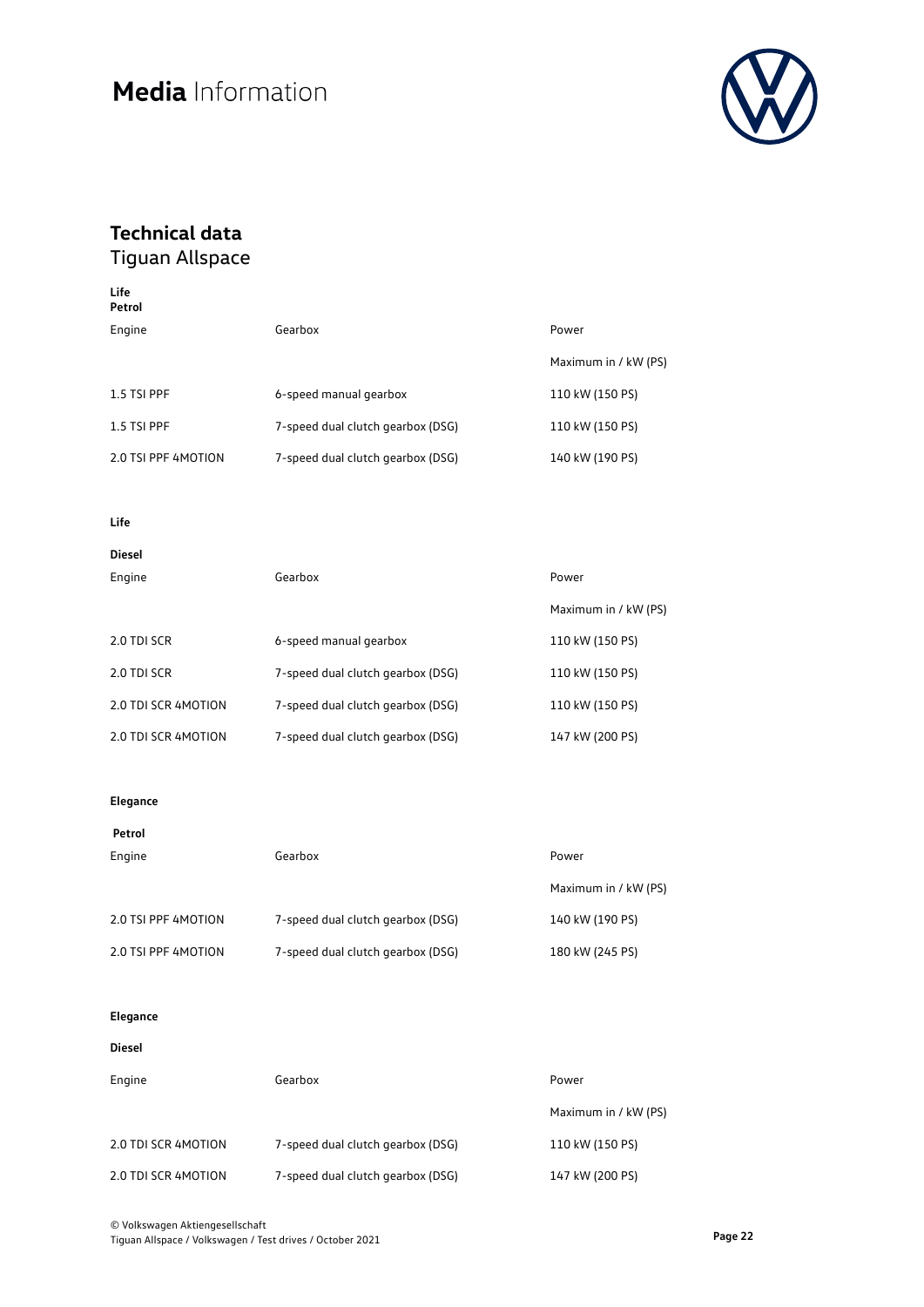

## **Technical data**

Tiguan Allspace

| Life<br>Petrol      |                                   |                      |
|---------------------|-----------------------------------|----------------------|
| Engine              | Gearbox                           | Power                |
|                     |                                   | Maximum in / kW (PS) |
| 1.5 TSI PPF         | 6-speed manual gearbox            | 110 kW (150 PS)      |
| 1.5 TSI PPF         | 7-speed dual clutch gearbox (DSG) | 110 kW (150 PS)      |
| 2.0 TSI PPF 4MOTION | 7-speed dual clutch gearbox (DSG) | 140 kW (190 PS)      |

### **Life**

| ۰. | ۰. | M.<br>۰, | ×<br>۰. |  |
|----|----|----------|---------|--|

| Engine              | Gearbox                           | Power                |
|---------------------|-----------------------------------|----------------------|
|                     |                                   | Maximum in / kW (PS) |
| 2.0 TDI SCR         | 6-speed manual gearbox            | 110 kW (150 PS)      |
| 2.0 TDI SCR         | 7-speed dual clutch gearbox (DSG) | 110 kW (150 PS)      |
| 2.0 TDI SCR 4MOTION | 7-speed dual clutch gearbox (DSG) | 110 kW (150 PS)      |
| 2.0 TDI SCR 4MOTION | 7-speed dual clutch gearbox (DSG) | 147 kW (200 PS)      |

#### **Elegance**

| Petrol              |                                   |                      |
|---------------------|-----------------------------------|----------------------|
| Engine              | Gearbox                           | Power                |
|                     |                                   | Maximum in / kW (PS) |
| 2.0 TSI PPF 4MOTION | 7-speed dual clutch gearbox (DSG) | 140 kW (190 PS)      |
| 2.0 TSI PPF 4MOTION | 7-speed dual clutch gearbox (DSG) | 180 kW (245 PS)      |

#### **Elegance**

#### **Diesel**

| Engine              | Gearbox                           | Power                |
|---------------------|-----------------------------------|----------------------|
|                     |                                   | Maximum in / kW (PS) |
| 2.0 TDI SCR 4MOTION | 7-speed dual clutch gearbox (DSG) | 110 kW (150 PS)      |
| 2.0 TDI SCR 4MOTION | 7-speed dual clutch gearbox (DSG) | 147 kW (200 PS)      |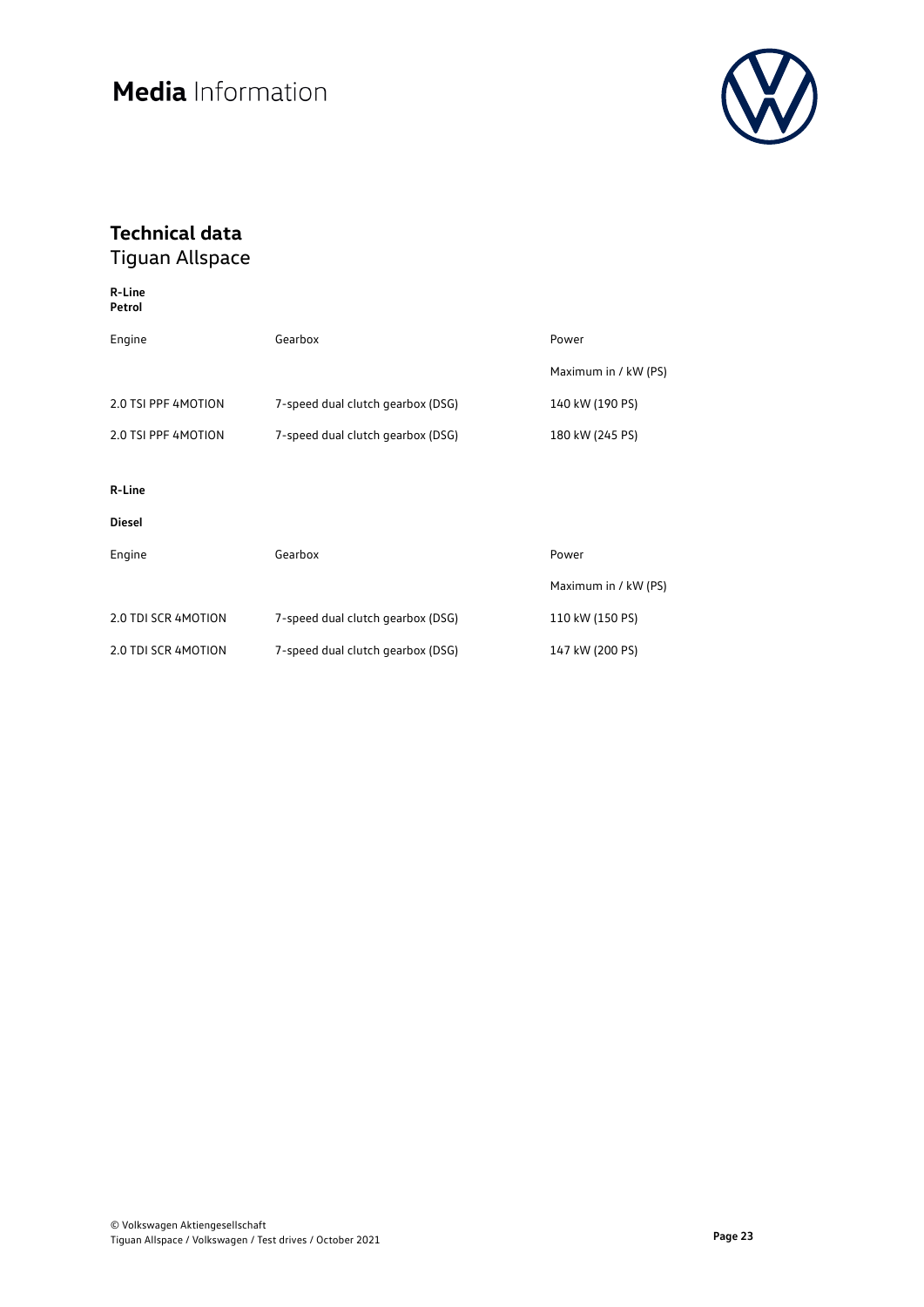

## **Technical data**

| R-Line<br>Petrol    |                                   |                      |
|---------------------|-----------------------------------|----------------------|
| Engine              | Gearbox                           | Power                |
|                     |                                   | Maximum in / kW (PS) |
| 2.0 TSI PPF 4MOTION | 7-speed dual clutch gearbox (DSG) | 140 kW (190 PS)      |
| 2.0 TSI PPF 4MOTION | 7-speed dual clutch gearbox (DSG) | 180 kW (245 PS)      |
|                     |                                   |                      |
| R-Line              |                                   |                      |
| <b>Diesel</b>       |                                   |                      |
| Engine              | Gearbox                           | Power                |
|                     |                                   | Maximum in / kW (PS) |
| 2.0 TDI SCR 4MOTION | 7-speed dual clutch gearbox (DSG) | 110 kW (150 PS)      |
| 2.0 TDI SCR 4MOTION | 7-speed dual clutch gearbox (DSG) | 147 kW (200 PS)      |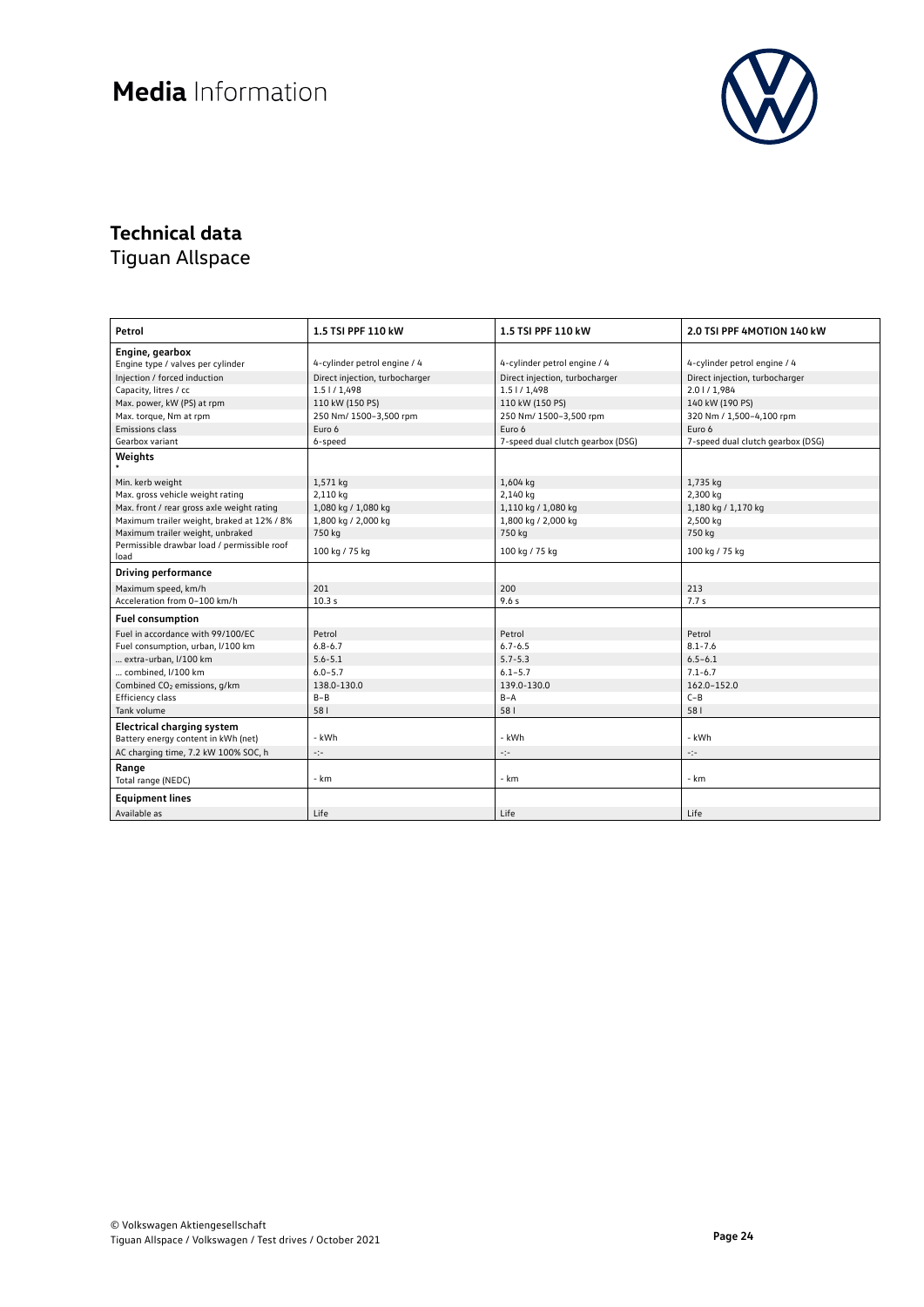

### **Technical data**

| Petrol                                      | 1.5 TSI PPF 110 kW             | 1.5 TSI PPF 110 kW                | 2.0 TSI PPF 4MOTION 140 kW        |
|---------------------------------------------|--------------------------------|-----------------------------------|-----------------------------------|
| Engine, gearbox                             |                                |                                   |                                   |
| Engine type / valves per cylinder           | 4-cylinder petrol engine / 4   | 4-cylinder petrol engine / 4      | 4-cylinder petrol engine / 4      |
| Injection / forced induction                | Direct injection, turbocharger | Direct injection, turbocharger    | Direct injection, turbocharger    |
| Capacity, litres / cc                       | 1.51/1,498                     | $1.5$ $1/1,498$                   | 2.01/1,984                        |
| Max. power, kW (PS) at rpm                  | 110 kW (150 PS)                | 110 kW (150 PS)                   | 140 kW (190 PS)                   |
| Max. torque, Nm at rpm                      | 250 Nm/ 1500-3,500 rpm         | 250 Nm/ 1500-3,500 rpm            | 320 Nm / 1,500-4,100 rpm          |
| Emissions class                             | Euro 6                         | Euro 6                            | Euro 6                            |
| Gearbox variant                             | 6-speed                        | 7-speed dual clutch gearbox (DSG) | 7-speed dual clutch gearbox (DSG) |
| Weights                                     |                                |                                   |                                   |
| Min. kerb weight                            | 1,571 kg                       | 1,604 kg                          | 1,735 kg                          |
| Max. gross vehicle weight rating            | 2,110 kg                       | 2,140 kg                          | 2,300 kg                          |
| Max. front / rear gross axle weight rating  | 1,080 kg / 1,080 kg            | 1,110 kg / 1,080 kg               | 1,180 kg / 1,170 kg               |
| Maximum trailer weight, braked at 12% / 8%  | 1,800 kg / 2,000 kg            | 1,800 kg / 2,000 kg               | 2,500 kg                          |
| Maximum trailer weight, unbraked            | 750 kg                         | 750 kg                            | 750 kg                            |
| Permissible drawbar load / permissible roof | 100 kg / 75 kg                 | 100 kg / 75 kg                    | 100 kg / 75 kg                    |
| load                                        |                                |                                   |                                   |
| <b>Driving performance</b>                  |                                |                                   |                                   |
| Maximum speed, km/h                         | 201                            | 200                               | 213                               |
| Acceleration from 0-100 km/h                | 10.3s                          | 9.6s                              | 7.7s                              |
| <b>Fuel consumption</b>                     |                                |                                   |                                   |
| Fuel in accordance with 99/100/EC           | Petrol                         | Petrol                            | Petrol                            |
| Fuel consumption, urban, I/100 km           | $6.8 - 6.7$                    | $6.7 - 6.5$                       | $8.1 - 7.6$                       |
| extra-urban, I/100 km                       | $5.6 - 5.1$                    | $5.7 - 5.3$                       | $6.5 - 6.1$                       |
| combined, I/100 km                          | $6.0 - 5.7$                    | $6.1 - 5.7$                       | $7.1 - 6.7$                       |
| Combined CO <sub>2</sub> emissions, g/km    | 138.0-130.0                    | 139.0-130.0                       | 162.0-152.0                       |
| Efficiency class                            | $B - B$                        | $B - A$                           | $C - B$                           |
| Tank volume                                 | 581                            | 581                               | 581                               |
| <b>Electrical charging system</b>           |                                |                                   |                                   |
| Battery energy content in kWh (net)         | - kWh                          | - kWh                             | - kWh                             |
| AC charging time, 7.2 kW 100% SOC, h        | ÷                              | ÷                                 | -:-                               |
| Range                                       |                                |                                   |                                   |
| Total range (NEDC)                          | - km                           | $- km$                            | - km                              |
| <b>Equipment lines</b>                      |                                |                                   |                                   |
| Available as                                | Life                           | Life                              | Life                              |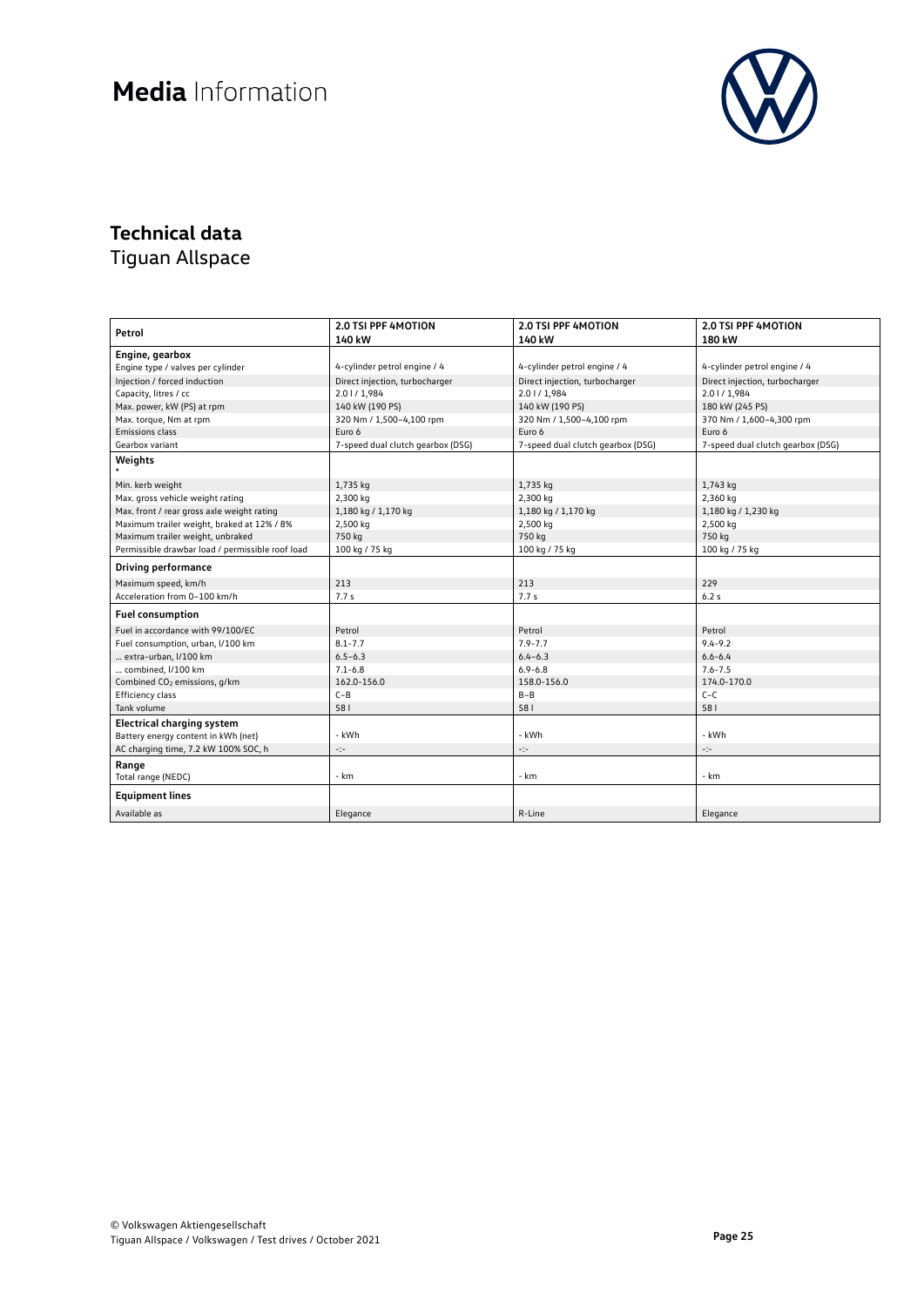

## **Technical data**

| Petrol                                                                   | <b>2.0 TSI PPF 4MOTION</b>        | <b>2.0 TSI PPF 4MOTION</b>        | <b>2.0 TSI PPF 4MOTION</b>        |
|--------------------------------------------------------------------------|-----------------------------------|-----------------------------------|-----------------------------------|
|                                                                          | 140 kW                            | 140 kW                            | 180 kW                            |
| Engine, gearbox                                                          |                                   |                                   |                                   |
| Engine type / valves per cylinder                                        | 4-cylinder petrol engine / 4      | 4-cylinder petrol engine / 4      | 4-cylinder petrol engine / 4      |
| Injection / forced induction                                             | Direct injection, turbocharger    | Direct injection, turbocharger    | Direct injection, turbocharger    |
| Capacity, litres / cc                                                    | 2.01/1.984                        | 2.01/1.984                        | 2.0   / 1,984                     |
| Max. power, kW (PS) at rpm                                               | 140 kW (190 PS)                   | 140 kW (190 PS)                   | 180 kW (245 PS)                   |
| Max. torque, Nm at rpm                                                   | 320 Nm / 1,500-4,100 rpm          | 320 Nm / 1,500-4,100 rpm          | 370 Nm / 1,600-4,300 rpm          |
| Emissions class                                                          | Euro 6                            | Euro 6                            | Euro 6                            |
| Gearbox variant                                                          | 7-speed dual clutch gearbox (DSG) | 7-speed dual clutch gearbox (DSG) | 7-speed dual clutch gearbox (DSG) |
| Weights                                                                  |                                   |                                   |                                   |
|                                                                          |                                   |                                   |                                   |
| Min. kerb weight                                                         | 1,735 kg                          | 1,735 kg                          | 1,743 kg                          |
| Max. gross vehicle weight rating                                         | 2,300 kg                          | 2,300 kg                          | 2,360 kg                          |
| Max. front / rear gross axle weight rating                               | 1,180 kg / 1,170 kg               | 1,180 kg / 1,170 kg               | 1,180 kg / 1,230 kg               |
| Maximum trailer weight, braked at 12% / 8%                               | 2,500 kg                          | 2,500 kg                          | 2,500 kg                          |
| Maximum trailer weight, unbraked                                         | 750 kg                            | 750 kg                            | 750 kg                            |
| Permissible drawbar load / permissible roof load                         | 100 kg / 75 kg                    | 100 kg / 75 kg                    | 100 kg / 75 kg                    |
| <b>Driving performance</b>                                               |                                   |                                   |                                   |
| Maximum speed, km/h                                                      | 213                               | 213                               | 229                               |
| Acceleration from 0-100 km/h                                             | 7.7s                              | 7.7s                              | 6.2s                              |
| <b>Fuel consumption</b>                                                  |                                   |                                   |                                   |
| Fuel in accordance with 99/100/EC                                        | Petrol                            | Petrol                            | Petrol                            |
| Fuel consumption, urban, I/100 km                                        | $8.1 - 7.7$                       | $7.9 - 7.7$                       | $9.4 - 9.2$                       |
| extra-urban, I/100 km                                                    | $6.5 - 6.3$                       | $6.4 - 6.3$                       | $6.6 - 6.4$                       |
| combined, I/100 km                                                       | $7.1 - 6.8$                       | $6.9 - 6.8$                       | $7.6 - 7.5$                       |
| Combined CO <sub>2</sub> emissions, g/km                                 | 162.0-156.0                       | 158.0-156.0                       | 174.0-170.0                       |
| Efficiency class                                                         | $C - B$                           | $B - B$                           | $C - C$                           |
| Tank volume                                                              | 581                               | 581                               | 581                               |
| <b>Electrical charging system</b><br>Battery energy content in kWh (net) | - kWh                             | - kWh                             | - kWh                             |
|                                                                          |                                   |                                   |                                   |
| AC charging time, 7.2 kW 100% SOC, h                                     | ÷t÷                               | -:-                               | -:-                               |
| Range<br>Total range (NEDC)                                              | - km                              | - km                              | - km                              |
| <b>Equipment lines</b>                                                   |                                   |                                   |                                   |
| Available as                                                             | Elegance                          | R-Line                            | Elegance                          |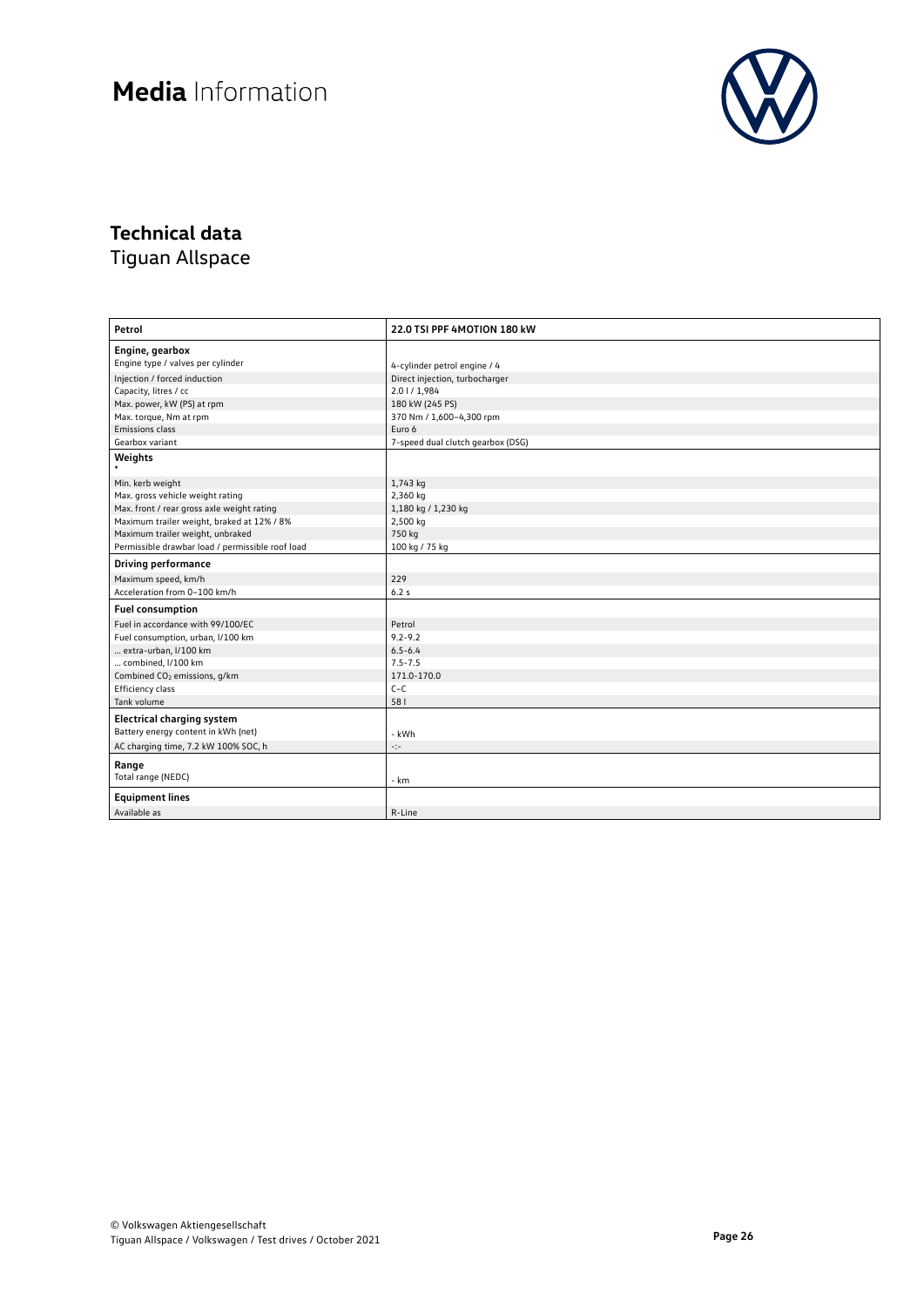

## **Technical data**

| Petrol                                           | 22.0 TSI PPF 4MOTION 180 kW       |
|--------------------------------------------------|-----------------------------------|
| Engine, gearbox                                  |                                   |
| Engine type / valves per cylinder                | 4-cylinder petrol engine / 4      |
| Injection / forced induction                     | Direct injection, turbocharger    |
| Capacity, litres / cc                            | 2.01/1,984                        |
| Max. power, kW (PS) at rpm                       | 180 kW (245 PS)                   |
| Max. torque, Nm at rpm                           | 370 Nm / 1,600-4,300 rpm          |
| Emissions class                                  | Euro 6                            |
| Gearbox variant                                  | 7-speed dual clutch gearbox (DSG) |
| Weights                                          |                                   |
|                                                  |                                   |
| Min. kerb weight                                 | 1,743 kg                          |
| Max. gross vehicle weight rating                 | 2,360 kg                          |
| Max. front / rear gross axle weight rating       | 1,180 kg / 1,230 kg               |
| Maximum trailer weight, braked at 12% / 8%       | 2,500 kg                          |
| Maximum trailer weight, unbraked                 | 750 kg                            |
| Permissible drawbar load / permissible roof load | 100 kg / 75 kg                    |
| <b>Driving performance</b>                       |                                   |
| Maximum speed, km/h                              | 229                               |
| Acceleration from 0-100 km/h                     | 6.2s                              |
| <b>Fuel consumption</b>                          |                                   |
| Fuel in accordance with 99/100/EC                | Petrol                            |
| Fuel consumption, urban, I/100 km                | $9.2 - 9.2$                       |
| extra-urban, I/100 km                            | $6.5 - 6.4$                       |
| combined, I/100 km                               | $7.5 - 7.5$                       |
| Combined CO <sub>2</sub> emissions, q/km         | 171.0-170.0                       |
| Efficiency class                                 | $C-C$                             |
| Tank volume                                      | 581                               |
| <b>Electrical charging system</b>                |                                   |
| Battery energy content in kWh (net)              | - kWh                             |
| AC charging time, 7.2 kW 100% SOC, h             | ÷t÷                               |
| Range                                            |                                   |
| Total range (NEDC)                               | - km                              |
| <b>Equipment lines</b>                           |                                   |
| Available as                                     | R-Line                            |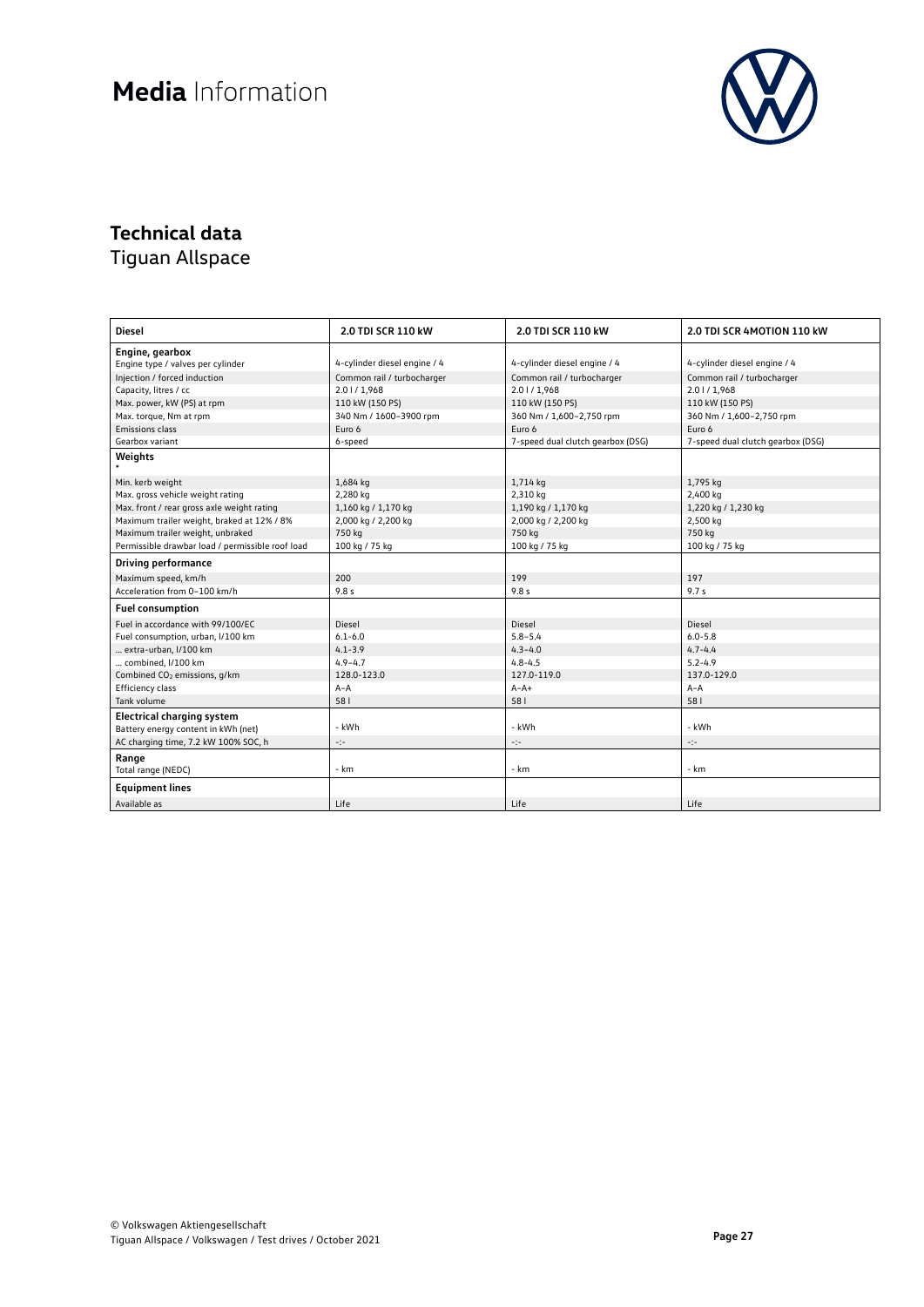

## **Technical data**

| <b>Diesel</b>                                    | 2.0 TDI SCR 110 kW           | 2.0 TDI SCR 110 kW                | 2.0 TDI SCR 4MOTION 110 kW        |
|--------------------------------------------------|------------------------------|-----------------------------------|-----------------------------------|
| Engine, gearbox                                  |                              |                                   |                                   |
| Engine type / valves per cylinder                | 4-cylinder diesel engine / 4 | 4-cylinder diesel engine / 4      | 4-cylinder diesel engine / 4      |
| Injection / forced induction                     | Common rail / turbocharger   | Common rail / turbocharger        | Common rail / turbocharger        |
| Capacity, litres / cc                            | 2.01/1,968                   | 2.01/1,968                        | 2.01/1,968                        |
| Max. power, kW (PS) at rpm                       | 110 kW (150 PS)              | 110 kW (150 PS)                   | 110 kW (150 PS)                   |
| Max. torque, Nm at rpm                           | 340 Nm / 1600-3900 rpm       | 360 Nm / 1,600-2,750 rpm          | 360 Nm / 1,600-2,750 rpm          |
| Emissions class                                  | Euro 6                       | Euro 6                            | Euro 6                            |
| Gearbox variant                                  | 6-speed                      | 7-speed dual clutch gearbox (DSG) | 7-speed dual clutch gearbox (DSG) |
| Weights                                          |                              |                                   |                                   |
|                                                  |                              |                                   |                                   |
| Min. kerb weight                                 | 1,684 kg                     | 1,714 kg                          | 1,795 kg                          |
| Max. gross vehicle weight rating                 | 2,280 kg                     | 2,310 kg                          | 2,400 kg                          |
| Max. front / rear gross axle weight rating       | 1,160 kg / 1,170 kg          | 1,190 kg / 1,170 kg               | 1,220 kg / 1,230 kg               |
| Maximum trailer weight, braked at 12% / 8%       | 2,000 kg / 2,200 kg          | 2,000 kg / 2,200 kg               | 2,500 kg                          |
| Maximum trailer weight, unbraked                 | 750 kg                       | 750 kg                            | 750 kg                            |
| Permissible drawbar load / permissible roof load | 100 kg / 75 kg               | 100 kg / 75 kg                    | 100 kg / 75 kg                    |
| <b>Driving performance</b>                       |                              |                                   |                                   |
| Maximum speed, km/h                              | 200                          | 199                               | 197                               |
| Acceleration from 0-100 km/h                     | 9.8 <sub>s</sub>             | 9.8 <sub>s</sub>                  | 9.7 <sub>s</sub>                  |
| <b>Fuel consumption</b>                          |                              |                                   |                                   |
| Fuel in accordance with 99/100/EC                | Diesel                       | Diesel                            | Diesel                            |
| Fuel consumption, urban, I/100 km                | $6.1 - 6.0$                  | $5.8 - 5.4$                       | $6.0 - 5.8$                       |
| extra-urban, I/100 km                            | $4.1 - 3.9$                  | $4.3 - 4.0$                       | $4.7 - 4.4$                       |
| combined, I/100 km                               | $4.9 - 4.7$                  | $4.8 - 4.5$                       | $5.2 - 4.9$                       |
| Combined CO <sub>2</sub> emissions, g/km         | 128.0-123.0                  | 127.0-119.0                       | 137.0-129.0                       |
| Efficiency class                                 | $A - A$                      | $A - A +$                         | $A - A$                           |
| Tank volume                                      | 581                          | 581                               | 581                               |
| <b>Electrical charging system</b>                |                              |                                   |                                   |
| Battery energy content in kWh (net)              | - kWh                        | - kWh                             | - kWh                             |
| AC charging time, 7.2 kW 100% SOC, h             | -14                          | -:-                               | $\mathcal{L}(\mathcal{L})$        |
| Range                                            |                              |                                   |                                   |
| Total range (NEDC)                               | - km                         | - km                              | - km                              |
| <b>Equipment lines</b>                           |                              |                                   |                                   |
| Available as                                     | Life                         | Life                              | Life                              |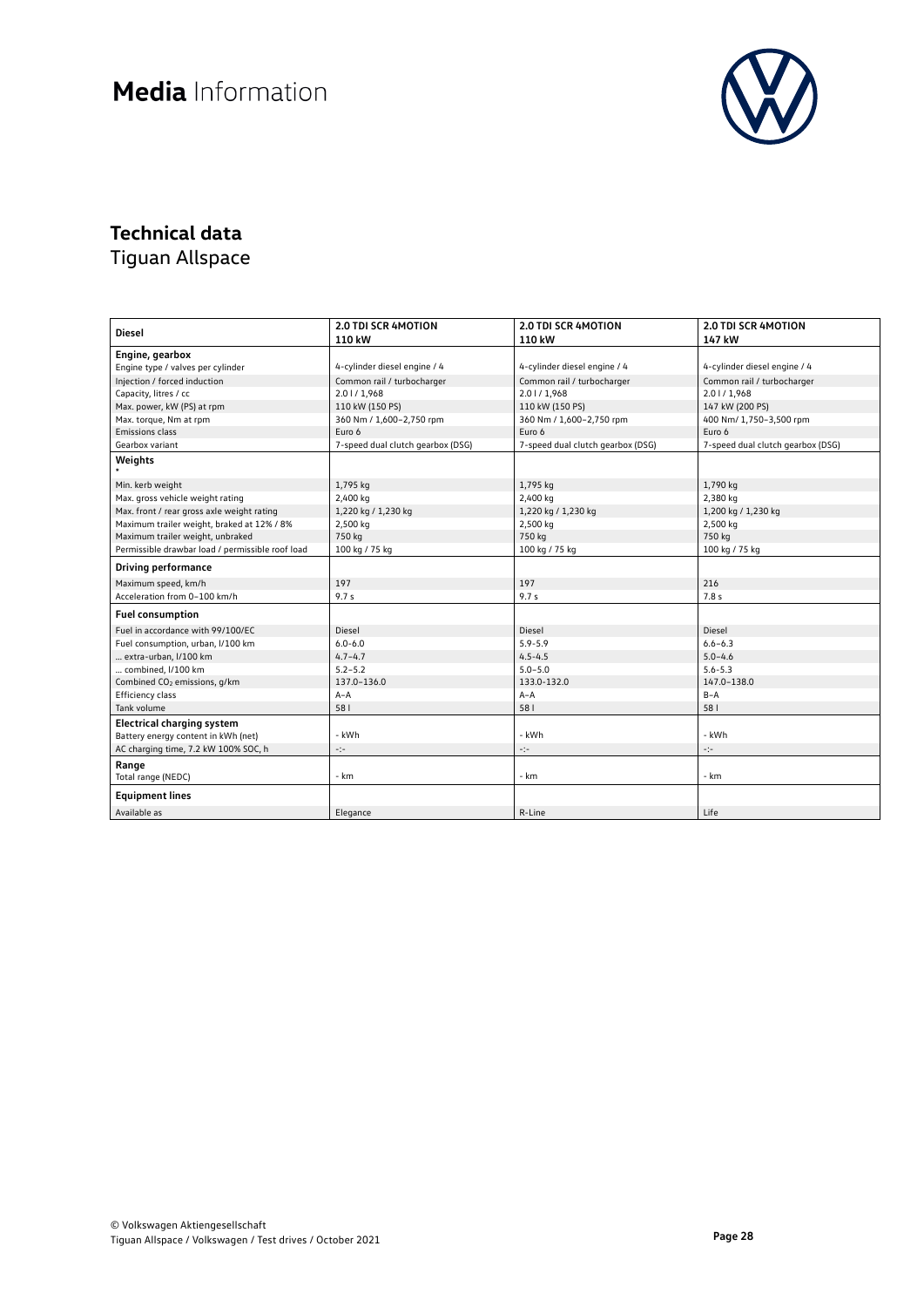

### **Technical data**

| <b>Diesel</b>                                        | <b>2.0 TDI SCR 4MOTION</b><br>110 kW | <b>2.0 TDI SCR 4MOTION</b><br>110 kW | <b>2.0 TDI SCR 4MOTION</b><br>147 kW |
|------------------------------------------------------|--------------------------------------|--------------------------------------|--------------------------------------|
|                                                      |                                      |                                      |                                      |
| Engine, gearbox<br>Engine type / valves per cylinder | 4-cylinder diesel engine / 4         | 4-cylinder diesel engine / 4         | 4-cylinder diesel engine / 4         |
| Injection / forced induction                         | Common rail / turbocharger           | Common rail / turbocharger           | Common rail / turbocharger           |
|                                                      |                                      |                                      |                                      |
| Capacity, litres / cc                                | 2.01/1,968                           | 2.01/1,968                           | 2.01/1,968                           |
| Max. power, kW (PS) at rpm                           | 110 kW (150 PS)                      | 110 kW (150 PS)                      | 147 kW (200 PS)                      |
| Max. torque, Nm at rpm<br>Emissions class            | 360 Nm / 1,600-2,750 rpm<br>Euro 6   | 360 Nm / 1,600-2,750 rpm<br>Euro 6   | 400 Nm/ 1,750-3,500 rpm<br>Euro 6    |
|                                                      |                                      |                                      |                                      |
| Gearbox variant                                      | 7-speed dual clutch gearbox (DSG)    | 7-speed dual clutch gearbox (DSG)    | 7-speed dual clutch gearbox (DSG)    |
| Weights                                              |                                      |                                      |                                      |
| Min. kerb weight                                     | 1,795 kg                             | 1,795 kg                             | 1,790 kg                             |
| Max. gross vehicle weight rating                     | 2,400 kg                             | 2,400 kg                             | 2,380 kg                             |
| Max. front / rear gross axle weight rating           | 1,220 kg / 1,230 kg                  | 1,220 kg / 1,230 kg                  | 1,200 kg / 1,230 kg                  |
| Maximum trailer weight, braked at 12% / 8%           | 2,500 kg                             | 2,500 kg                             | 2,500 kg                             |
| Maximum trailer weight, unbraked                     | 750 kg                               | 750 kg                               | 750 kg                               |
| Permissible drawbar load / permissible roof load     | 100 kg / 75 kg                       | 100 kg / 75 kg                       | 100 kg / 75 kg                       |
| <b>Driving performance</b>                           |                                      |                                      |                                      |
| Maximum speed, km/h                                  | 197                                  | 197                                  | 216                                  |
| Acceleration from 0-100 km/h                         | 9.7 <sub>s</sub>                     | 9.7 <sub>s</sub>                     | 7.8 s                                |
| <b>Fuel consumption</b>                              |                                      |                                      |                                      |
| Fuel in accordance with 99/100/EC                    | Diesel                               | Diesel                               | Diesel                               |
| Fuel consumption, urban, I/100 km                    | $6.0 - 6.0$                          | $5.9 - 5.9$                          | $6.6 - 6.3$                          |
| extra-urban, I/100 km                                | $4.7 - 4.7$                          | $4.5 - 4.5$                          | $5.0 - 4.6$                          |
| combined, I/100 km                                   | $5.2 - 5.2$                          | $5.0 - 5.0$                          | $5.6 - 5.3$                          |
| Combined CO <sub>2</sub> emissions, q/km             | 137.0-136.0                          | 133.0-132.0                          | 147.0-138.0                          |
| Efficiency class                                     | $A - A$                              | $A - A$                              | $B-A$                                |
| Tank volume                                          | 581                                  | 581                                  | 581                                  |
| <b>Electrical charging system</b>                    | - kWh                                | - kWh                                | - kWh                                |
| Battery energy content in kWh (net)                  |                                      |                                      |                                      |
| AC charging time, 7.2 kW 100% SOC, h                 | -14                                  | $\sigma_{\rm eff}^{\rm 2.2}$         | $\mathcal{C}(\mathcal{C})$           |
| Range<br>Total range (NEDC)                          | - km                                 | - km                                 | - km                                 |
| <b>Equipment lines</b>                               |                                      |                                      |                                      |
| Available as                                         | Elegance                             | R-Line                               | Life                                 |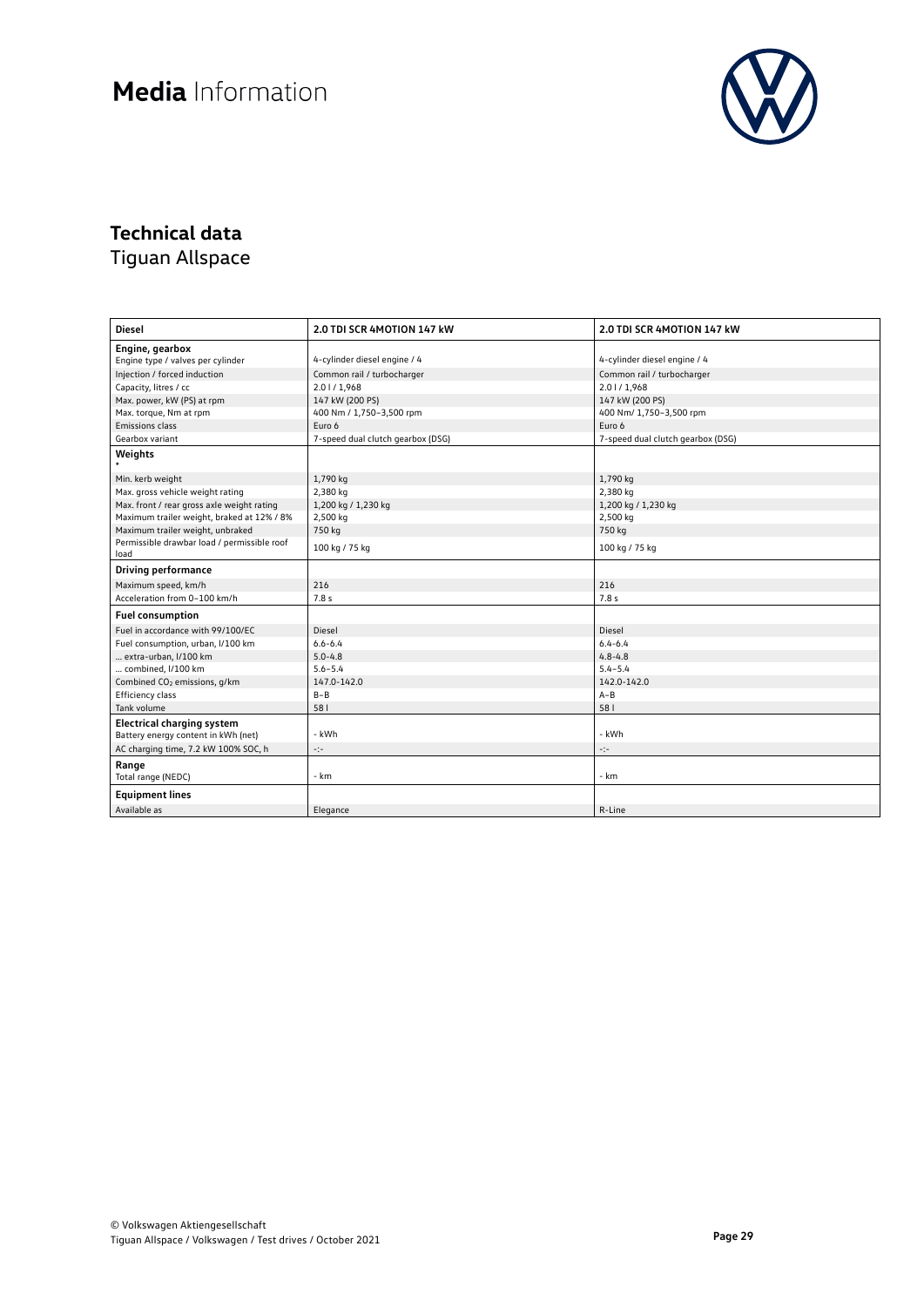

### **Technical data**

| <b>Diesel</b>                                       | 2.0 TDI SCR 4MOTION 147 kW        | 2.0 TDI SCR 4MOTION 147 kW        |  |
|-----------------------------------------------------|-----------------------------------|-----------------------------------|--|
| Engine, gearbox                                     |                                   |                                   |  |
| Engine type / valves per cylinder                   | 4-cylinder diesel engine / 4      | 4-cylinder diesel engine / 4      |  |
| Injection / forced induction                        | Common rail / turbocharger        | Common rail / turbocharger        |  |
| Capacity, litres / cc                               | 2.01/1,968                        | 2.01/1,968                        |  |
| Max. power, kW (PS) at rpm                          | 147 kW (200 PS)                   | 147 kW (200 PS)                   |  |
| Max. torque, Nm at rpm                              | 400 Nm / 1,750-3,500 rpm          | 400 Nm/ 1,750-3,500 rpm           |  |
| Emissions class                                     | Euro 6                            | Euro 6                            |  |
| Gearbox variant                                     | 7-speed dual clutch gearbox (DSG) | 7-speed dual clutch gearbox (DSG) |  |
| Weights                                             |                                   |                                   |  |
| Min. kerb weight                                    | 1,790 kg                          | 1,790 kg                          |  |
| Max. gross vehicle weight rating                    | 2,380 kg                          | 2,380 kg                          |  |
| Max. front / rear gross axle weight rating          | 1,200 kg / 1,230 kg               | 1,200 kg / 1,230 kg               |  |
| Maximum trailer weight, braked at 12% / 8%          | 2,500 kg                          | 2,500 kg                          |  |
| Maximum trailer weight, unbraked                    | 750 kg                            | 750 kg                            |  |
| Permissible drawbar load / permissible roof<br>load | 100 kg / 75 kg                    | 100 kg / 75 kg                    |  |
| <b>Driving performance</b>                          |                                   |                                   |  |
| Maximum speed, km/h                                 | 216                               | 216                               |  |
| Acceleration from 0-100 km/h                        | 7.8 s                             | 7.8 s                             |  |
| <b>Fuel consumption</b>                             |                                   |                                   |  |
| Fuel in accordance with 99/100/EC                   | Diesel                            | Diesel                            |  |
| Fuel consumption, urban, I/100 km                   | $6.6 - 6.4$                       | $6.4 - 6.4$                       |  |
| extra-urban, I/100 km                               | $5.0 - 4.8$                       | $4.8 - 4.8$                       |  |
| combined, I/100 km                                  | $5.6 - 5.4$                       | $5.4 - 5.4$                       |  |
| Combined CO <sub>2</sub> emissions, g/km            | 147.0-142.0                       | 142.0-142.0                       |  |
| Efficiency class                                    | $B - B$                           | $A - B$                           |  |
| Tank volume                                         | 581                               | 581                               |  |
| <b>Electrical charging system</b>                   |                                   |                                   |  |
| Battery energy content in kWh (net)                 | - kWh                             | - kWh                             |  |
| AC charging time, 7.2 kW 100% SOC, h                | ÷                                 | ÷                                 |  |
| Range                                               |                                   |                                   |  |
| Total range (NEDC)                                  | - km                              | - km                              |  |
| <b>Equipment lines</b>                              |                                   |                                   |  |
| Available as                                        | Elegance                          | R-Line                            |  |